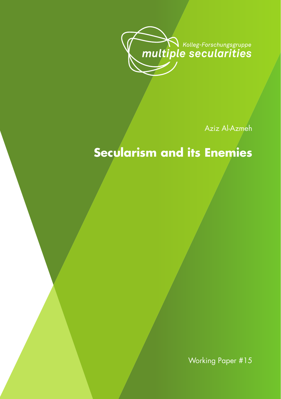

Aziz Al-Azmeh

# **Secularism and its Enemies**

Working Paper #15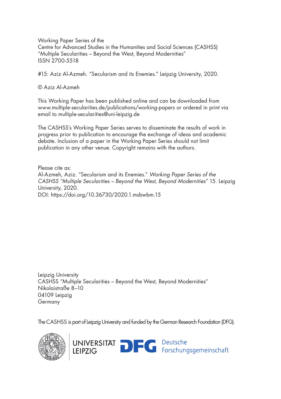Working Paper Series of the Centre for Advanced Studies in the Humanities and Social Sciences (CASHSS) "Multiple Secularities – Beyond the West, Beyond Modernities" ISSN 2700-5518

#15: Aziz Al-Azmeh. "Secularism and its Enemies." Leipzig University, 2020.

© Aziz Al-Azmeh

This Working Paper has been published online and can be downloaded from www.multiple-secularities.de/publications/working-papers or ordered in print via email to multiple-secularities@uni-leipzig.de

The CASHSS's Working Paper Series serves to disseminate the results of work in progress prior to publication to encourage the exchange of ideas and academic debate. Inclusion of a paper in the Working Paper Series should not limit publication in any other venue. Copyright remains with the authors.

Please cite as: Al-Azmeh, Aziz. "Secularism and its Enemies." *Working Paper Series of the CASHSS "Multiple Secularities – Beyond the West, Beyond Modernities"* 15. Leipzig University, 2020. DOI: https://doi.org/10.36730/2020.1.msbwbm.15

Leipzig University CASHSS "Multiple Secularities – Beyond the West, Beyond Modernities" Nikolaistraße 8–10 04109 Leipzig Germany

The CASHSS is part of Leipzig University and funded by the German Research Foundation (DFG).

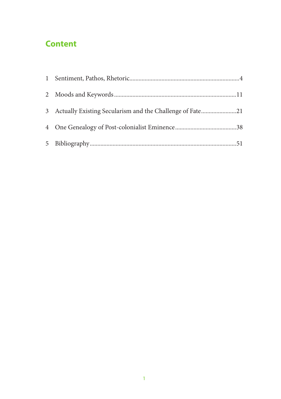## **Content**

| 3 Actually Existing Secularism and the Challenge of Fate21 |  |
|------------------------------------------------------------|--|
|                                                            |  |
|                                                            |  |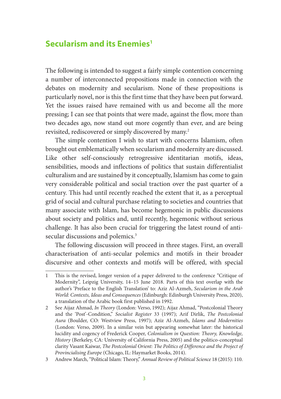### **Secularism and its Enemies1**

The following is intended to suggest a fairly simple contention concerning a number of interconnected propositions made in connection with the debates on modernity and secularism. None of these propositions is particularly novel, nor is this the first time that they have been put forward. Yet the issues raised have remained with us and become all the more pressing; I can see that points that were made, against the flow, more than two decades ago, now stand out more cogently than ever, and are being revisited, rediscovered or simply discovered by many.2

The simple contention I wish to start with concerns Islamism, often brought out emblematically when secularism and modernity are discussed. Like other self-consciously retrogressive identitarian motifs, ideas, sensibilities, moods and inflections of politics that sustain differentialist culturalism and are sustained by it conceptually, Islamism has come to gain very considerable political and social traction over the past quarter of a century. This had until recently reached the extent that it, as a perceptual grid of social and cultural purchase relating to societies and countries that many associate with Islam, has become hegemonic in public discussions about society and politics and, until recently, hegemonic without serious challenge. It has also been crucial for triggering the latest round of antisecular discussions and polemics.<sup>3</sup>

The following discussion will proceed in three stages. First, an overall characterisation of anti-secular polemics and motifs in their broader discursive and other contexts and motifs will be offered, with special

<sup>1</sup> This is the revised, longer version of a paper delivered to the conference "Critique of Modernity", Leipzig University, 14–15 June 2018. Parts of this text overlap with the author's 'Preface to the English Translation' to: Aziz Al-Azmeh, *Secularism in the Arab World: Contexts, Ideas and Consequences* (Edinburgh: Edinburgh University Press, 2020), a translation of the Arabic book first published in 1992.

<sup>2</sup> See Aijaz Ahmad, *In Theory* (London: Verso, 1992); Aijaz Ahmad, "Postcolonial Theory and the 'Post'-Condition," *Socialist Register* 33 (1997); Arif Dirlik, *The Postcolonial Aura* (Boulder, CO: Westview Press, 1997); Aziz Al-Azmeh, *Islams and Modernities* (London: Verso, 2009). In a similar vein but appearing somewhat later: the historical lucidity and cogency of Frederick Cooper, *Colonialism in Question: Theory, Knowledge, History* (Berkeley, CA: University of California Press, 2005) and the politico-conceptual clarity Vasant Kaiwar, *The Postcolonial Orient: The Politics of Difference and the Project of Provincialising Europe* (Chicago, IL: Haymarket Books, 2014).

<sup>3</sup> Andrew March, "Political Islam: Theory," *Annual Review of Political Science* 18 (2015): 110.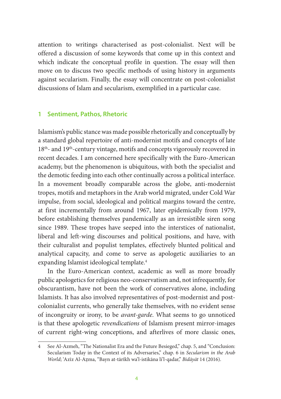attention to writings characterised as post-colonialist. Next will be offered a discussion of some keywords that come up in this context and which indicate the conceptual profile in question. The essay will then move on to discuss two specific methods of using history in arguments against secularism. Finally, the essay will concentrate on post-colonialist discussions of Islam and secularism, exemplified in a particular case.

#### **1 Sentiment, Pathos, Rhetoric**

Islamism's public stance was made possible rhetorically and conceptually by a standard global repertoire of anti-modernist motifs and concepts of late 18<sup>th</sup>- and 19<sup>th</sup>-century vintage, motifs and concepts vigorously recovered in recent decades. I am concerned here specifically with the Euro-American academy, but the phenomenon is ubiquitous, with both the specialist and the demotic feeding into each other continually across a political interface. In a movement broadly comparable across the globe, anti-modernist tropes, motifs and metaphors in the Arab world migrated, under Cold War impulse, from social, ideological and political margins toward the centre, at first incrementally from around 1967, later epidemically from 1979, before establishing themselves pandemically as an irresistible siren song since 1989. These tropes have seeped into the interstices of nationalist, liberal and left-wing discourses and political positions, and have, with their culturalist and populist templates, effectively blunted political and analytical capacity, and come to serve as apologetic auxiliaries to an expanding Islamist ideological template.4

In the Euro-American context, academic as well as more broadly public apologetics for religious neo-conservatism and, not infrequently, for obscurantism, have not been the work of conservatives alone, including Islamists. It has also involved representatives of post-modernist and postcolonialist currents, who generally take themselves, with no evident sense of incongruity or irony, to be *avant-garde*. What seems to go unnoticed is that these apologetic *revendications* of Islamism present mirror-images of current right-wing conceptions, and afterlives of more classic ones,

<sup>4</sup> See Al-Azmeh, "The Nationalist Era and the Future Besieged," chap. 5, and "Conclusion: Secularism Today in the Context of its Adversaries," chap. 6 in *Secularism in the Arab World*; 'Azīz Al-Aẓma, "Bayn at-tārīkh wa'l-istikāna li'l-qadar," *Bidāyāt* 14 (2016).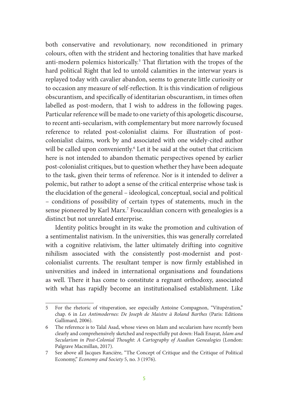both conservative and revolutionary, now reconditioned in primary colours, often with the strident and hectoring tonalities that have marked anti-modern polemics historically.5 That flirtation with the tropes of the hard political Right that led to untold calamities in the interwar years is replayed today with cavalier abandon, seems to generate little curiosity or to occasion any measure of self-reflection. It is this vindication of religious obscurantism, and specifically of identitarian obscurantism, in times often labelled as post-modern, that I wish to address in the following pages. Particular reference will be made to one variety of this apologetic discourse, to recent anti-secularism, with complementary but more narrowly focused reference to related post-colonialist claims. For illustration of postcolonialist claims, work by and associated with one widely-cited author will be called upon conveniently.<sup>6</sup> Let it be said at the outset that criticism here is not intended to abandon thematic perspectives opened by earlier post-colonialist critiques, but to question whether they have been adequate to the task, given their terms of reference. Nor is it intended to deliver a polemic, but rather to adopt a sense of the critical enterprise whose task is the elucidation of the general – ideological, conceptual, social and political – conditions of possibility of certain types of statements, much in the sense pioneered by Karl Marx.7 Foucauldian concern with genealogies is a distinct but not unrelated enterprise.

Identity politics brought in its wake the promotion and cultivation of a sentimentalist nativism. In the universities, this was generally correlated with a cognitive relativism, the latter ultimately drifting into cognitive nihilism associated with the consistently post-modernist and postcolonialist currents. The resultant temper is now firmly established in universities and indeed in international organisations and foundations as well. There it has come to constitute a regnant orthodoxy, associated with what has rapidly become an institutionalised establishment. Like

<sup>5</sup> For the rhetoric of vituperation, see especially Antoine Compagnon, "Vitupération," chap. 6 in *Les Antimodernes: De Joseph de Maistre à Roland Barthes* (Paris: Editions Gallimard, 2006).

<sup>6</sup> The reference is to Talal Asad, whose views on Islam and secularism have recently been clearly and comprehensively sketched and respectfully put down: Hadi Enayat, *Islam and Secularism in Post-Colonial Thought*: *A Cartography of Asadian Genealogies* (London: Palgrave Macmillan, 2017).

<sup>7</sup> See above all Jacques Rancière, "The Concept of Critique and the Critique of Political Economy," *Economy and Society* 5, no. 3 (1976).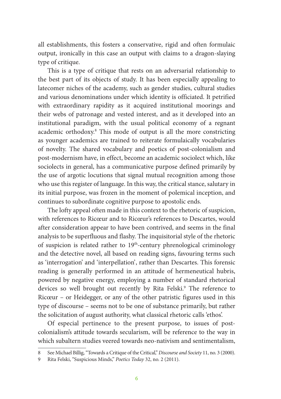all establishments, this fosters a conservative, rigid and often formulaic output, ironically in this case an output with claims to a dragon-slaying type of critique.

This is a type of critique that rests on an adversarial relationship to the best part of its objects of study. It has been especially appealing to latecomer niches of the academy, such as gender studies, cultural studies and various denominations under which identity is officiated. It petrified with extraordinary rapidity as it acquired institutional moorings and their webs of patronage and vested interest, and as it developed into an institutional paradigm, with the usual political economy of a regnant academic orthodoxy.8 This mode of output is all the more constricting as younger academics are trained to reiterate formulaically vocabularies of novelty. The shared vocabulary and poetics of post-colonialism and post-modernism have, in effect, become an academic sociolect which, like sociolects in general, has a communicative purpose defined primarily by the use of argotic locutions that signal mutual recognition among those who use this register of language. In this way, the critical stance, salutary in its initial purpose, was frozen in the moment of polemical inception, and continues to subordinate cognitive purpose to apostolic ends.

The lofty appeal often made in this context to the rhetoric of suspicion, with references to Ricœur and to Ricœur's references to Descartes, would after consideration appear to have been contrived, and seems in the final analysis to be superfluous and flashy. The inquisitorial style of the rhetoric of suspicion is related rather to  $19<sup>th</sup>$ -century phrenological criminology and the detective novel, all based on reading signs, favouring terms such as 'interrogation' and 'interpellation', rather than Descartes. This forensic reading is generally performed in an attitude of hermeneutical hubris, powered by negative energy, employing a number of standard rhetorical devices so well brought out recently by Rita Felski.<sup>9</sup> The reference to Ricœur – or Heidegger, or any of the other patristic figures used in this type of discourse – seems not to be one of substance primarily, but rather the solicitation of august authority, what classical rhetoric calls 'ethos'.

Of especial pertinence to the present purpose, to issues of postcolonialism's attitude towards secularism, will be reference to the way in which subaltern studies veered towards neo-nativism and sentimentalism,

<sup>8</sup> See Michael Billig, "Towards a Critique of the Critical," *Discourse and Society* 11, no. 3 (2000).

<sup>9</sup> Rita Felski, "Suspicious Minds," *Poetics Today* 32, no. 2 (2011).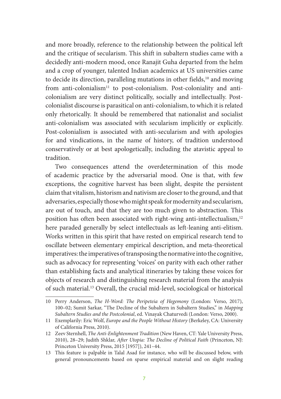and more broadly, reference to the relationship between the political left and the critique of secularism. This shift in subaltern studies came with a decidedly anti-modern mood, once Ranajit Guha departed from the helm and a crop of younger, talented Indian academics at US universities came to decide its direction, paralleling mutations in other fields, $10$  and moving from anti-colonialism<sup>11</sup> to post-colonialism. Post-coloniality and anticolonialism are very distinct politically, socially and intellectually. Postcolonialist discourse is parasitical on anti-colonialism, to which it is related only rhetorically. It should be remembered that nationalist and socialist anti-colonialism was associated with secularism implicitly or explicitly. Post-colonialism is associated with anti-secularism and with apologies for and vindications, in the name of history, of tradition understood conservatively or at best apologetically, including the atavistic appeal to tradition.

Two consequences attend the overdetermination of this mode of academic practice by the adversarial mood. One is that, with few exceptions, the cognitive harvest has been slight, despite the persistent claim that vitalism, historism and nativism are closer to the ground, and that adversaries, especially those who might speak for modernity and secularism, are out of touch, and that they are too much given to abstraction. This position has often been associated with right-wing anti-intellectualism,<sup>12</sup> here paraded generally by select intellectuals as left-leaning anti-elitism. Works written in this spirit that have rested on empirical research tend to oscillate between elementary empirical description, and meta-theoretical imperatives: the imperatives of transposing the normative into the cognitive, such as advocacy for representing 'voices' on parity with each other rather than establishing facts and analytical itineraries by taking these voices for objects of research and distinguishing research material from the analysis of such material.13 Overall, the crucial mid-level, sociological or historical

<sup>10</sup> Perry Anderson, *The H-Word: The Peripeteia of Hegemony* (London: Verso, 2017), 100–02; Sumit Sarkar, "The Decline of the Subaltern in Subaltern Studies," in *Mapping Subaltern Studies and the Postcolonial*, ed. Vinayak Chaturvedi (London: Verso, 2000).

<sup>11</sup> Exemplarily: Eric Wolf, *Europe and the People Without History* (Berkeley, CA: University of California Press, 2010).

<sup>12</sup> Zeev Sternhell, *The Anti-Enlightenment Tradition* (New Haven, CT: Yale University Press, 2010), 28–29; Judith Shklar, *After Utopia: The Decline of Political Faith* (Princeton, NJ: Princeton University Press, 2015 [1957]), 241–44.

<sup>13</sup> This feature is palpable in Talal Asad for instance, who will be discussed below, with general pronouncements based on sparse empirical material and on slight reading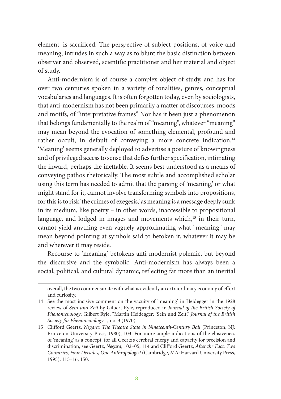element, is sacrificed. The perspective of subject-positions, of voice and meaning, intrudes in such a way as to blunt the basic distinction between observer and observed, scientific practitioner and her material and object of study.

Anti-modernism is of course a complex object of study, and has for over two centuries spoken in a variety of tonalities, genres, conceptual vocabularies and languages. It is often forgotten today, even by sociologists, that anti-modernism has not been primarily a matter of discourses, moods and motifs, of "interpretative frames" Nor has it been just a phenomenon that belongs fundamentally to the realm of "meaning", whatever "meaning" may mean beyond the evocation of something elemental, profound and rather occult, in default of conveying a more concrete indication.<sup>14</sup> 'Meaning' seems generally deployed to advertise a posture of knowingness and of privileged access to sense that defies further specification, intimating the inward, perhaps the ineffable. It seems best understood as a means of conveying pathos rhetorically. The most subtle and accomplished scholar using this term has needed to admit that the parsing of 'meaning,' or what might stand for it, cannot involve transforming symbols into propositions, for this is to risk 'the crimes of exegesis,' as meaning is a message deeply sunk in its medium, like poetry – in other words, inaccessible to propositional language, and lodged in images and movements which,<sup>15</sup> in their turn, cannot yield anything even vaguely approximating what "meaning" may mean beyond pointing at symbols said to betoken it, whatever it may be and wherever it may reside.

Recourse to 'meaning' betokens anti-modernist polemic, but beyond the discursive and the symbolic. Anti-modernism has always been a social, political, and cultural dynamic, reflecting far more than an inertial

overall, the two commensurate with what is evidently an extraordinary economy of effort and curiosity.

<sup>14</sup> See the most incisive comment on the vacuity of 'meaning' in Heidegger in the 1928 review of *Sein und Zeit* by Gilbert Ryle, reproduced in *Journal of the British Society of Phenomenology*: Gilbert Ryle, "Martin Heidegger: 'Sein und Zeit'," *Journal of the British Society for Phenomenology* 1, no. 3 (1970).

<sup>15</sup> Clifford Geertz, *Negara: The Theatre State in Nineteenth-Century Bali* (Princeton, NJ: Princeton University Press, 1980), 103. For more ample indications of the elusiveness of 'meaning' as a concept, for all Geertz's cerebral energy and capacity for precision and discrimination, see Geertz, *Negara*, 102–05, 114 and Clifford Geertz, *After the Fact: Two Countries, Four Decades, One Anthropologist* (Cambridge, MA: Harvard University Press, 1995), 115–16, 150.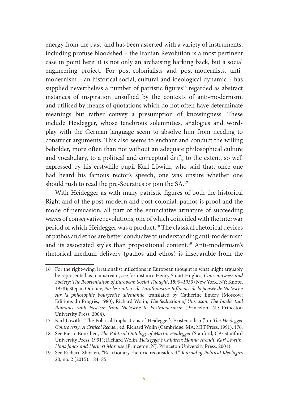energy from the past, and has been asserted with a variety of instruments, including profuse bloodshed – the Iranian Revolution is a most pertinent case in point here: it is not only an archaising harking back, but a social engineering project. For post-colonialists and post-modernists, antimodernism – an historical social, cultural and ideological dynamic – has supplied nevertheless a number of patristic figures<sup>16</sup> regarded as abstract instances of inspiration unsullied by the contexts of anti-modernism, and utilised by means of quotations which do not often have determinate meanings but rather convey a presumption of knowingness. These include Heidegger, whose tenebrous solemnities, analogies and wordplay with the German language seem to absolve him from needing to construct arguments. This also seems to enchant and conduct the willing beholder, more often than not without an adequate philosophical culture and vocabulary, to a political and conceptual drift, to the extent, so well expressed by his erstwhile pupil Karl Löwith, who said that, once one had heard his famous rector's speech, one was unsure whether one should rush to read the pre-Socratics or join the SA.17

With Heidegger as with many patristic figures of both the historical Right and of the post-modern and post-colonial, pathos is proof and the mode of persuasion, all part of the enunciative armature of succeeding waves of conservative revolutions, one of which coincided with the interwar period of which Heidegger was a product.18 The classical rhetorical devices of pathos and ethos are better conducive to understanding anti-modernism and its associated styles than propositional content.19 Anti-modernism's rhetorical medium delivery (pathos and ethos) is inseparable from the

<sup>16</sup> For the right-wing, irrationalist inflections in European thought in what might arguably be represented as mainstream, see for instance Henry Stuart Hughes, *Consciousness and Society: The Reorientation of European Social Thought*, *1890–1930* (New York, NY: Knopf, 1958); Stepan Odouev, *Par les sentiers de Zarathoustra: Influence de la pensée de Nietzsche sur la philosophie bourgeoise allemande*, translated by Catherine Emery (Moscow: Éditions du Progrès, 1980); Richard Wolin, *The Seduction of Unreason: The Intellectual Romance with Fascism from Nietzsche to Postmodernism* (Princeton, NJ: Princeton University Press, 2004).

<sup>17</sup> Karl Löwith, "The Political Implications of Heidegger's Existentialism," in *The Heidegger Controversy: A Critical Reader*, ed. Richard Wolin (Cambridge, MA: MIT Press, 1991), 176.

<sup>18</sup> See Pierre Bourdieu, *The Political Ontology of Martin Heidegger* (Stanford, CA: Stanford University Press, 1991); Richard Wolin, *Heidegger's Children: Hanna Arendt, Karl Löwith, Hans Jonas and Herbert Marcuse* (Princeton, NJ: Princeton University Press, 2001).

<sup>19</sup> See Richard Shorten, "Reactionary rhetoric reconsidered," *Journal of Political Ideologies* 20, no. 2 (2015): 184–85.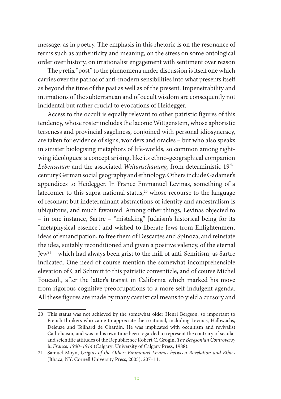message, as in poetry. The emphasis in this rhetoric is on the resonance of terms such as authenticity and meaning, on the stress on some ontological order over history, on irrationalist engagement with sentiment over reason

The prefix "post" to the phenomena under discussion is itself one which carries over the pathos of anti-modern sensibilities into what presents itself as beyond the time of the past as well as of the present. Impenetrability and intimations of the subterranean and of occult wisdom are consequently not incidental but rather crucial to evocations of Heidegger.

Access to the occult is equally relevant to other patristic figures of this tendency, whose roster includes the laconic Wittgenstein, whose aphoristic terseness and provincial sageliness, conjoined with personal idiosyncracy, are taken for evidence of signs, wonders and oracles – but who also speaks in sinister biologising metaphors of life-worlds, so common among rightwing ideologues: a concept arising, like its ethno-geographical companion *Lebensraum* and the associated *Weltanschauung*, from deterministic 19<sup>th</sup>century German social geography and ethnology. Others include Gadamer's appendices to Heidegger. In France Emmanuel Levinas, something of a latecomer to this supra-national status,<sup>20</sup> whose recourse to the language of resonant but indeterminant abstractions of identity and ancestralism is ubiquitous, and much favoured. Among other things, Levinas objected to – in one instance, Sartre – "mistaking" Judaism's historical being for its "metaphysical essence", and wished to liberate Jews from Enlightenment ideas of emancipation, to free them of Descartes and Spinoza, and reinstate the idea, suitably reconditioned and given a positive valency, of the eternal  $Iew<sup>21</sup>$  – which had always been grist to the mill of anti-Semitism, as Sartre indicated. One need of course mention the somewhat incomprehensible elevation of Carl Schmitt to this patristic conventicle, and of course Michel Foucault, after the latter's transit in California which marked his move from rigorous cognitive preoccupations to a more self-indulgent agenda. All these figures are made by many casuistical means to yield a cursory and

<sup>20</sup> This status was not achieved by the somewhat older Henri Bergson, so important to French thinkers who came to appreciate the irrational, including Levinas, Halbwachs, Deleuze and Teilhard de Chardin. He was implicated with occultism and revivalist Catholicism, and was in his own time been regarded to represent the contrary of secular and scientific attitudes of the Republic: see Robert C. Grogin, *The Bergsonian Controversy in France, 1900–1914* (Calgary: University of Calgary Press, 1988).

<sup>21</sup> Samuel Moyn, *Origins of the Other: Emmanuel Levinas between Revelation and Ethics* (Ithaca, NY: Cornell University Press, 2005), 207–11.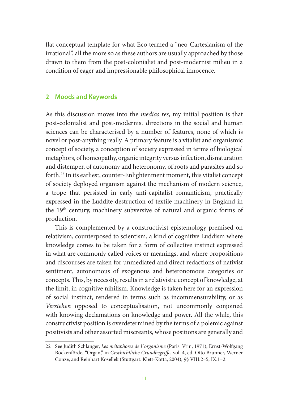flat conceptual template for what Eco termed a "neo-Cartesianism of the irrational", all the more so as these authors are usually approached by those drawn to them from the post-colonialist and post-modernist milieu in a condition of eager and impressionable philosophical innocence.

#### **2 Moods and Keywords**

As this discussion moves into the *medias res*, my initial position is that post-colonialist and post-modernist directions in the social and human sciences can be characterised by a number of features, none of which is novel or post-anything really. A primary feature is a vitalist and organismic concept of society, a conception of society expressed in terms of biological metaphors, of homeopathy, organic integrity versus infection, disnaturation and distemper, of autonomy and heteronomy, of roots and parasites and so forth.22 In its earliest, counter-Enlightenment moment, this vitalist concept of society deployed organism against the mechanism of modern science, a trope that persisted in early anti-capitalist romanticism, practically expressed in the Luddite destruction of textile machinery in England in the 19th century, machinery subversive of natural and organic forms of production.

This is complemented by a constructivist epistemology premised on relativism, counterposed to scientism, a kind of cognitive Luddism where knowledge comes to be taken for a form of collective instinct expressed in what are commonly called voices or meanings, and where propositions and discourses are taken for unmediated and direct redactions of nativist sentiment, autonomous of exogenous and heteronomous categories or concepts. This, by necessity, results in a relativistic concept of knowledge, at the limit, in cognitive nihilism. Knowledge is taken here for an expression of social instinct, rendered in terms such as incommensurability, or as *Verstehen* opposed to conceptualisation, not uncommonly conjoined with knowing declamations on knowledge and power. All the while, this constructivist position is overdetermined by the terms of a polemic against positivists and other assorted miscreants, whose positions are generally and

<sup>22</sup> See Judith Schlanger, *Les métaphores de l´organisme* (Paris: Vrin, 1971); Ernst-Wolfgang Böckenförde, "Organ," in *Geschichtliche Grundbegriffe*, vol. 4, ed. Otto Brunner, Werner Conze, and Reinhart Kosellek (Stuttgart: Klett-Kotta, 2004), §§ VIII.2–5, IX.1–2.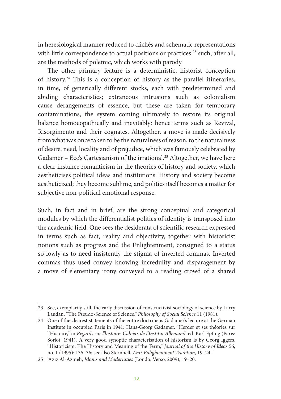in heresiological manner reduced to clichés and schematic representations with little correspondence to actual positions or practices:<sup>23</sup> such, after all, are the methods of polemic, which works with parody.

The other primary feature is a deterministic, historist conception of history.24 This is a conception of history as the parallel itineraries, in time, of generically different stocks, each with predetermined and abiding characteristics; extraneous intrusions such as colonialism cause derangements of essence, but these are taken for temporary contaminations, the system coming ultimately to restore its original balance homoeopathically and inevitably: hence terms such as Revival, Risorgimento and their cognates. Altogether, a move is made decisively from what was once taken to be the naturalness of reason, to the naturalness of desire, need, locality and of prejudice, which was famously celebrated by Gadamer – Eco's Cartesianism of the irrational.<sup>25</sup> Altogether, we have here a clear instance romanticism in the theories of history and society, which aestheticises political ideas and institutions. History and society become aestheticized; they become sublime, and politics itself becomes a matter for subjective non-political emotional response.

Such, in fact and in brief, are the strong conceptual and categorical modules by which the differentialist politics of identity is transposed into the academic field. One sees the desiderata of scientific research expressed in terms such as fact, reality and objectivity, together with historicist notions such as progress and the Enlightenment, consigned to a status so lowly as to need insistently the stigma of inverted commas. Inverted commas thus used convey knowing incredulity and disparagement by a move of elementary irony conveyed to a reading crowd of a shared

<sup>23</sup> See, exemplarily still, the early discussion of constructivist sociology of science by Larry Laudan, "The Pseudo-Science of Science," *Philosophy of Social Science* 11 (1981).

<sup>24</sup> One of the clearest statements of the entire doctrine is Gadamer's lecture at the German Institute in occupied Paris in 1941: Hans-Georg Gadamer, "Herder et ses théories sur l'Histoire," in *Regards sur l'histoire: Cahiers de l'Institut Allemand*, ed. Karl Epting (Paris: Sorlot, 1941). A very good synoptic characterisation of historism is by Georg Iggers, "Historicism: The History and Meaning of the Term," *Journal of the History of Ideas* 56, no. 1 (1995): 135–36; see also Sternhell, *Anti-Enlightenment Tradition*, 19–24.

<sup>25</sup> 'Azīz Al-Azmeh, *Islams and Modernities* (Londo: Verso, 2009), 19–20.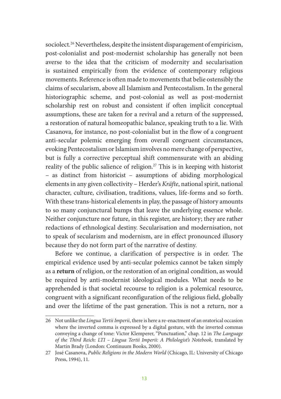sociolect.<sup>26</sup> Nevertheless, despite the insistent disparagement of empiricism, post-colonialist and post-modernist scholarship has generally not been averse to the idea that the criticism of modernity and secularisation is sustained empirically from the evidence of contemporary religious movements. Reference is often made to movements that belie ostensibly the claims of secularism, above all Islamism and Pentecostalism. In the general historiographic scheme, and post-colonial as well as post-modernist scholarship rest on robust and consistent if often implicit conceptual assumptions, these are taken for a revival and a return of the suppressed, a restoration of natural homeopathic balance, speaking truth to a lie. With Casanova, for instance, no post-colonialist but in the flow of a congruent anti-secular polemic emerging from overall congruent circumstances, evoking Pentecostalism or Islamism involves no mere change of perspective, but is fully a corrective perceptual shift commensurate with an abiding reality of the public salience of religion.27 This is in keeping with historist – as distinct from historicist – assumptions of abiding morphological elements in any given collectivity – Herder's *Kräfte*, national spirit, national character, culture, civilisation, traditions, values, life-forms and so forth. With these trans-historical elements in play, the passage of history amounts to so many conjunctural bumps that leave the underlying essence whole. Neither conjuncture nor future, in this register, are history; they are rather redactions of ethnological destiny. Secularisation and modernisation, not to speak of secularism and modernism, are in effect pronounced illusory because they do not form part of the narrative of destiny.

Before we continue, a clarification of perspective is in order. The empirical evidence used by anti-secular polemics cannot be taken simply as a **return** of religion, or the restoration of an original condition, as would be required by anti-modernist ideological modules. What needs to be apprehended is that societal recourse to religion is a polemical resource, congruent with a significant reconfiguration of the religious field, globally and over the lifetime of the past generation. This is not a return, nor a

<sup>26</sup> Not unlike the *Lingua Tertii Imperii*, there is here a re-enactment of an oratorical occasion where the inverted comma is expressed by a digital gesture, with the inverted commas conveying a change of tone: Victor Klemperer, "Punctuation," chap. 12 in *The Language of the Third Reich: LTI – Lingua Tertii Imperii: A Philologist's Notebook*, translated by Martin Brady (London: Continuum Books, 2000).

<sup>27</sup> José Casanova, *Public Religions in the Modern World* (Chicago, IL: University of Chicago Press, 1994), 11.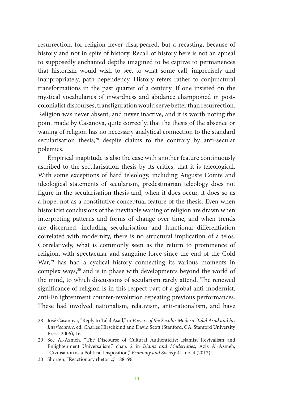resurrection, for religion never disappeared, but a recasting, because of history and not in spite of history. Recall of history here is not an appeal to supposedly enchanted depths imagined to be captive to permanences that historism would wish to see, to what some call, imprecisely and inappropriately, path dependency. History refers rather to conjunctural transformations in the past quarter of a century. If one insisted on the mystical vocabularies of inwardness and abidance championed in postcolonialist discourses, transfiguration would serve better than resurrection. Religion was never absent, and never inactive, and it is worth noting the point made by Casanova, quite correctly, that the thesis of the absence or waning of religion has no necessary analytical connection to the standard secularisation thesis,<sup>28</sup> despite claims to the contrary by anti-secular polemics.

Empirical inaptitude is also the case with another feature continuously ascribed to the secularisation thesis by its critics, that it is teleological. With some exceptions of hard teleology, including Auguste Comte and ideological statements of secularism, predestinarian teleology does not figure in the secularisation thesis and, when it does occur, it does so as a hope, not as a constitutive conceptual feature of the thesis. Even when historicist conclusions of the inevitable waning of religion are drawn when interpreting patterns and forms of change over time, and when trends are discerned, including secularisation and functional differentiation correlated with modernity, there is no structural implication of a telos. Correlatively, what is commonly seen as the return to prominence of religion, with spectacular and sanguine force since the end of the Cold War,<sup>29</sup> has had a cyclical history connecting its various moments in complex ways,<sup>30</sup> and is in phase with developments beyond the world of the mind, to which discussions of secularism rarely attend. The renewed significance of religion is in this respect part of a global anti-modernist, anti-Enlightenment counter-revolution repeating previous performances. These had involved nationalism, relativism, anti-rationalism, and have

<sup>28</sup> José Casanova, "Reply to Talal Asad," in *Powers of the Secular Modern: Talal Asad and his Interlocutors*, ed. Charles Hirschkind and David Scott (Stanford, CA: Stanford University Press, 2006), 16.

<sup>29</sup> See Al-Azmeh, "The Discourse of Cultural Authenticity: Islamist Revivalism and Enlightenment Universalism," chap. 2 in *Islams and Modernities*; Aziz Al-Azmeh, "Civilisation as a Political Disposition," *Economy and Society* 41, no. 4 (2012).

<sup>30</sup> Shorten, "Reactionary rhetoric," 188–96.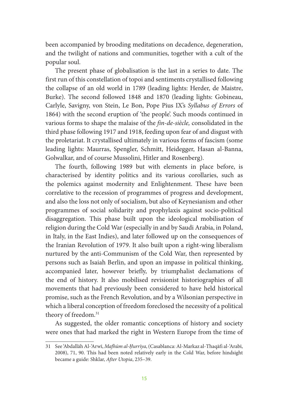been accompanied by brooding meditations on decadence, degeneration, and the twilight of nations and communities, together with a cult of the popular soul.

The present phase of globalisation is the last in a series to date. The first run of this constellation of topoi and sentiments crystallised following the collapse of an old world in 1789 (leading lights: Herder, de Maistre, Burke). The second followed 1848 and 1870 (leading lights: Gobineau, Carlyle, Savigny, von Stein, Le Bon, Pope Pius IX's *Syllabus of Errors* of 1864) with the second eruption of 'the people'. Such moods continued in various forms to shape the malaise of the *fin-de-siècle,* consolidated in the third phase following 1917 and 1918, feeding upon fear of and disgust with the proletariat. It crystallised ultimately in various forms of fascism (some leading lights: Maurras, Spengler, Schmitt, Heidegger, Hasan al-Banna, Golwalkar, and of course Mussolini, Hitler and Rosenberg).

The fourth, following 1989 but with elements in place before, is characterised by identity politics and its various corollaries, such as the polemics against modernity and Enlightenment. These have been correlative to the recession of programmes of progress and development, and also the loss not only of socialism, but also of Keynesianism and other programmes of social solidarity and prophylaxis against socio-political disaggregation. This phase built upon the ideological mobilisation of religion during the Cold War (especially in and by Saudi Arabia, in Poland, in Italy, in the East Indies), and later followed up on the consequences of the Iranian Revolution of 1979. It also built upon a right-wing liberalism nurtured by the anti-Communism of the Cold War, then represented by persons such as Isaiah Berlin, and upon an impasse in political thinking, accompanied later, however briefly, by triumphalist declamations of the end of history. It also mobilised revisionist historiographies of all movements that had previously been considered to have held historical promise, such as the French Revolution, and by a Wilsonian perspective in which a liberal conception of freedom foreclosed the necessity of a political theory of freedom.31

As suggested, the older romantic conceptions of history and society were ones that had marked the right in Western Europe from the time of

<sup>31</sup> See 'Abdallāh Al-'Arwī, *Mafhūm al-Ḥurrīya*, (Casablanca: Al-Markaz al-Thaqāfi al-'Arabī, 2008), 71, 90. This had been noted relatively early in the Cold War, before hindsight became a guide: Shklar, *After Utopia*, 235–39.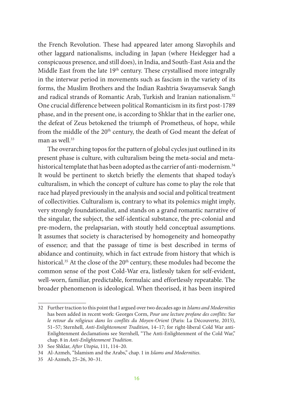the French Revolution. These had appeared later among Slavophils and other laggard nationalisms, including in Japan (where Heidegger had a conspicuous presence, and still does), in India, and South-East Asia and the Middle East from the late  $19<sup>th</sup>$  century. These crystallised more integrally in the interwar period in movements such as fascism in the variety of its forms, the Muslim Brothers and the Indian Rashtria Swayamsevak Sangh and radical strands of Romantic Arab, Turkish and Iranian nationalism.<sup>32</sup> One crucial difference between political Romanticism in its first post-1789 phase, and in the present one, is according to Shklar that in the earlier one, the defeat of Zeus betokened the triumph of Prometheus, of hope, while from the middle of the  $20<sup>th</sup>$  century, the death of God meant the defeat of man as well.<sup>33</sup>

The overarching topos for the pattern of global cycles just outlined in its present phase is culture, with culturalism being the meta-social and metahistorical template that has been adopted as the carrier of anti-modernism.<sup>34</sup> It would be pertinent to sketch briefly the elements that shaped today's culturalism, in which the concept of culture has come to play the role that race had played previously in the analysis and social and political treatment of collectivities. Culturalism is, contrary to what its polemics might imply, very strongly foundationalist, and stands on a grand romantic narrative of the singular, the subject, the self-identical substance, the pre-colonial and pre-modern, the prelapsarian, with stoutly held conceptual assumptions. It assumes that society is characterised by homogeneity and homeopathy of essence; and that the passage of time is best described in terms of abidance and continuity, which in fact extrude from history that which is historical.<sup>35</sup> At the close of the 20<sup>th</sup> century, these modules had become the common sense of the post Cold-War era, listlessly taken for self-evident, well-worn, familiar, predictable, formulaic and effortlessly repeatable. The broader phenomenon is ideological. When theorised, it has been inspired

<sup>32</sup> Further traction to this point that I argued over two decades ago in *Islams and Modernities* has been added in recent work: Georges Corm, *Pour une lecture profane des conflits: Sur*  le retour du religieux dans les conflits du Moyen-Orient (Paris: La Découverte, 2015), 51–57; Sternhell, *Anti-Enlightenment Tradition*, 14–17; for right-liberal Cold War anti-Enlightenment declamations see Sternhell, "The Anti-Enlightenment of the Cold War," chap. 8 in *Anti-Enlightenment Tradition*.

<sup>33</sup> See Shklar, *After Utopia*, 111, 114–20.

<sup>34</sup> Al-Azmeh, "Islamism and the Arabs," chap. 1 in *Islams and Modernities*.

<sup>35</sup> Al-Azmeh, 25–26, 30–31.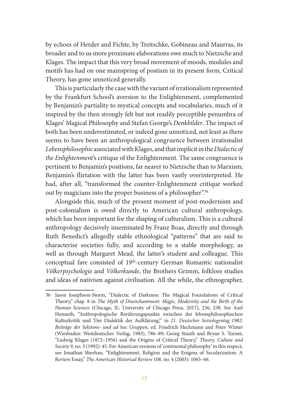by echoes of Herder and Fichte, by Treitschke, Gobineau and Maurras, its broader and to us more proximate elaborations owe much to Nietzsche and Klages. The impact that this very broad movement of moods, modules and motifs has had on one mainspring of postism in its present form, Critical Theory, has gone unnoticed generally.

This is particularly the case with the variant of irrationalism represented by the Frankfurt School's aversion to the Enlightenment, complemented by Benjamin's partiality to mystical concepts and vocabularies, much of it inspired by the then strongly felt but not readily perceptible penumbra of Klages' Magical Philosophy and Stefan George's *Denkbilder*. The impact of both has been underestimated, or indeed gone unnoticed, not least as there seems to have been an anthropological congruence between irrationalist *Lebensphilosophie* associated with Klages, and that implicit in the *Dialectic of the Enlightenment*'s critique of the Enlightenment. The same congruence is pertinent to Benjamin's positions, far nearer to Nietzsche than to Marxism; Benjamin's flirtation with the latter has been vastly overinterpreted. He had, after all, "transformed the counter-Enlightenment critique worked out by magicians into the proper business of a philosopher".<sup>36</sup>

Alongside this, much of the present moment of post-modernism and post-colonialism is owed directly to American cultural anthropology, which has been important for the shaping of culturalism. This is a cultural anthropology decisively inseminated by Franz Boas, directly and through Ruth Benedict's allegedly stable ethnological "patterns" that are said to characterise societies fully, and according to a stable morphology, as well as through Margaret Mead, the latter's student and colleague. This conceptual fare consisted of 19th-century German Romantic nationalist *Völkerpsychologie* and *Völkerkunde*, the Brothers Grimm, folklore studies and ideas of nativism against civilisation. All the while, the ethnographer,

<sup>36</sup> Jason Josephson-Storm, "Dialectic of Darkness: The Magical Foundations of Critical Theory," chap. 8 in *The Myth of Disenchantment: Magic, Modernity and the Birth of the Human Sciences* (Chicago, IL: University of Chicago Press, 2017), 236, 238. See Axel Honneth, "Anthropologische Berührungspunkte zwischen der lebensphilosophischen Kulturkritik und 'Der Dialektik der Aufklärung'," in *21. Deutscher Soziologentag 1982: Beiträge der Sektions- und ad hoc Gruppen*, ed. Friedrich Heckmann and Peter Winter (Wiesbaden: Westdeutscher Verlag, 1983), 786–89; Georg Stauth and Bryan S. Turner, "Ludwig Klages (1872–1956) and the Origins of Critical Theory," *Theory, Culture and Society* 9, no. 3 (1992): 45. For American versions of 'continental philosophy' in this respect, see Jonathan Sheehan, "Enlightenment, Religion and the Enigma of Secularization: A Review Essay," *The American Historical Review* 108, no. 4 (2003): 1065–66.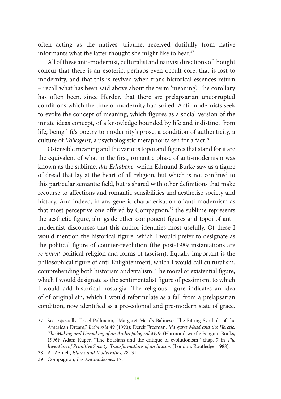often acting as the natives' tribune, received dutifully from native informants what the latter thought she might like to hear.<sup>37</sup>

All of these anti-modernist, culturalist and nativist directions of thought concur that there is an esoteric, perhaps even occult core, that is lost to modernity, and that this is revived when trans-historical essences return – recall what has been said above about the term 'meaning'. The corollary has often been, since Herder, that there are prelapsarian uncorrupted conditions which the time of modernity had soiled. Anti-modernists seek to evoke the concept of meaning, which figures as a social version of the innate ideas concept, of a knowledge bounded by life and indistinct from life, being life's poetry to modernity's prose, a condition of authenticity, a culture of *Volksgeist*, a psychologistic metaphor taken for a fact.38

Ostensible meaning and the various topoi and figures that stand for it are the equivalent of what in the first, romantic phase of anti-modernism was known as the sublime, *das Erhabene,* which Edmund Burke saw as a figure of dread that lay at the heart of all religion, but which is not confined to this particular semantic field, but is shared with other definitions that make recourse to affections and romantic sensibilities and aesthetise society and history. And indeed, in any generic characterisation of anti-modernism as that most perceptive one offered by Compagnon,<sup>39</sup> the sublime represents the aesthetic figure, alongside other component figures and topoi of antimodernist discourses that this author identifies most usefully. Of these I would mention the historical figure, which I would prefer to designate as the political figure of counter-revolution (the post-1989 instantations are *revenant* political religion and forms of fascism). Equally important is the philosophical figure of anti-Enlightenment, which I would call culturalism, comprehending both historism and vitalism. The moral or existential figure, which I would designate as the sentimentalist figure of pessimism, to which I would add historical nostalgia. The religious figure indicates an idea of of original sin, which I would reformulate as a fall from a prelapsarian condition, now identified as a pre-colonial and pre-modern state of grace.

<sup>37</sup> See especially Tessel Pollmann, "Margaret Mead's Balinese: The Fitting Symbols of the American Dream," *Indonesia* 49 (1990); Derek Freeman, *Margaret Mead and the Heretic: The Making and Unmaking of an Anthropological Myth* (Harmondsworth: Penguin Books, 1996); Adam Kuper, "The Boasians and the critique of evolutionism," chap. 7 in *The Invention of Primitive Society: Transformations of an Illusion* (London: Routledge, 1988).

<sup>38</sup> Al-Azmeh, *Islams and Modernities*, 28–31.

<sup>39</sup> Compagnon, *Les Antimodernes*, 17.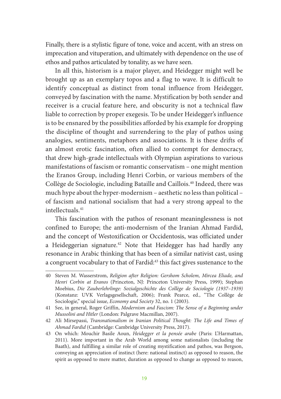Finally, there is a stylistic figure of tone, voice and accent, with an stress on imprecation and vituperation, and ultimately with dependence on the use of ethos and pathos articulated by tonality, as we have seen.

In all this, historism is a major player, and Heidegger might well be brought up as an exemplary topos and a flag to wave. It is difficult to identify conceptual as distinct from tonal influence from Heidegger, conveyed by fascination with the name. Mystification by both sender and receiver is a crucial feature here, and obscurity is not a technical flaw liable to correction by proper exegesis. To be under Heidegger's influence is to be ensnared by the possibilities afforded by his example for dropping the discipline of thought and surrendering to the play of pathos using analogies, sentiments, metaphors and associations. It is these drifts of an almost erotic fascination, often allied to contempt for democracy, that drew high-grade intellectuals with Olympian aspirations to various manifestations of fascism or romantic conservatism – one might mention the Eranos Group, including Henri Corbin, or various members of the Collège de Sociologie, including Bataille and Caillois.40 Indeed, there was much hype about the hyper-modernism – aesthetic no less than political – of fascism and national socialism that had a very strong appeal to the intellectuals.41

This fascination with the pathos of resonant meaninglessness is not confined to Europe; the anti-modernism of the Iranian Ahmad Fardid, and the concept of Westoxification or Occidentosis, was officiated under a Heideggerian signature.<sup>42</sup> Note that Heidegger has had hardly any resonance in Arabic thinking that has been of a similar nativist cast, using a congruent vocabulary to that of Fardid:<sup>43</sup> this fact gives sustenance to the

<sup>40</sup> Steven M. Wasserstrom, *Religion after Religion: Gershom Scholem, Mircea Eliade, and Henri Corbin at Eranos* (Princeton, NJ: Princeton University Press, 1999); Stephan Moebius, *Die Zauberlehrlinge: Sozialgeschichte des Collège de Sociologie (1937–1939)* (Konstanz: UVK Verlagsgesellschaft, 2006); Frank Pearce, ed., "The Collège de Sociologie," special issue, *Economy and Society* 32, no. 1 (2003).

<sup>41</sup> See, in general, Roger Griffin, *Modernism and Fascism: The Sense of a Beginning under Mussolini and Hitler* (London: Palgrave Macmillan, 2007).

<sup>42</sup> Ali Mirsepassi, *Transnationalism in Iranian Political Thought: The Life and Times of Ahmad Fardid* (Cambridge: Cambridge University Press, 2017).

<sup>43</sup> On which: Mouchir Basile Aoun, *Heidegger et la pensée arabe* (Paris: L'Harmattan, 2011). More important in the Arab World among some nationalists (including the Baath), and fulfilling a similar role of creating mystification and pathos, was Bergson, conveying an appreciation of instinct (here: national instinct) as opposed to reason, the spirit as opposed to mere matter, duration as opposed to change as opposed to reason,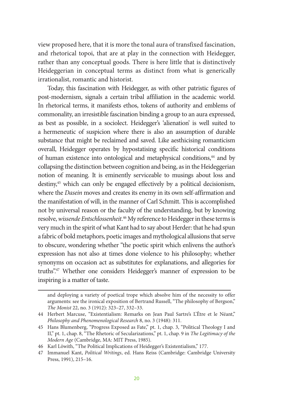view proposed here, that it is more the tonal aura of transfixed fascination, and rhetorical topoi, that are at play in the connection with Heidegger, rather than any conceptual goods. There is here little that is distinctively Heideggerian in conceptual terms as distinct from what is generically irrationalist, romantic and historist.

Today, this fascination with Heidegger, as with other patristic figures of post-modernism, signals a certain tribal affiliation in the academic world. In rhetorical terms, it manifests ethos, tokens of authority and emblems of commonality, an irresistible fascination binding a group to an aura expressed, as best as possible, in a sociolect. Heidegger's 'alienation' is well suited to a hermeneutic of suspicion where there is also an assumption of durable substance that might be reclaimed and saved. Like aesthicising romanticism overall, Heidegger operates by hypostatising specific historical conditions of human existence into ontological and metaphysical conditions,<sup>44</sup> and by collapsing the distinction between cognition and being, as in the Heideggerian notion of meaning. It is eminently serviceable to musings about loss and destiny,45 which can only be engaged effectively by a political decisionism, where the *Dasein* moves and creates its enemy in its own self-affirmation and the manifestation of will, in the manner of Carl Schmitt. This is accomplished not by universal reason or the faculty of the understanding, but by knowing resolve, *wissende Entschlossenheit*. 46 My reference to Heidegger in these terms is very much in the spirit of what Kant had to say about Herder: that he had spun a fabric of bold metaphors, poetic images and mythological allusions that serve to obscure, wondering whether "the poetic spirit which enlivens the author's expression has not also at times done violence to his philosophy; whether synonyms on occasion act as substitutes for explanations, and allegories for truths".47 Whether one considers Heidegger's manner of expression to be inspiring is a matter of taste.

and deploying a variety of poetical trope which absolve him of the necessity to offer arguments: see the ironical exposition of Bertrand Russell, "The philosophy of Bergson," *The Monist* 22, no. 3 (1912): 323–27, 332–33.

<sup>44</sup> Herbert Marcuse, "Existentialism: Remarks on Jean Paul Sartre's L'Être et le Néant," *Philosophy and Phenomenological Research* 8, no. 3 (1948): 311.

<sup>45</sup> Hans Blumenberg, "Progress Exposed as Fate," pt. 1, chap. 3, "Political Theology I and II," pt. 1, chap. 8, "The Rhetoric of Secularizations," pt. 1, chap. 9 in *The Legitimacy of the Modern Age* (Cambridge, MA: MIT Press, 1985).

<sup>46</sup> Karl Löwith, "The Political Implications of Heidegger's Existentialism," 177.

<sup>47</sup> Immanuel Kant, *Political Writings*, ed. Hans Reiss (Cambridge: Cambridge University Press, 1991), 215–16.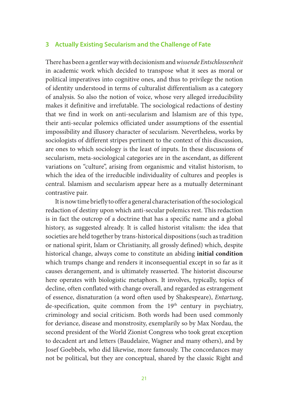#### **3 Actually Existing Secularism and the Challenge of Fate**

There has been a gentler way with decisionism and *wissende Entschlossenheit* in academic work which decided to transpose what it sees as moral or political imperatives into cognitive ones, and thus to privilege the notion of identity understood in terms of culturalist differentialism as a category of analysis. So also the notion of voice, whose very alleged irreducibility makes it definitive and irrefutable. The sociological redactions of destiny that we find in work on anti-secularism and Islamism are of this type, their anti-secular polemics officiated under assumptions of the essential impossibility and illusory character of secularism. Nevertheless, works by sociologists of different stripes pertinent to the context of this discussion, are ones to which sociology is the least of inputs. In these discussions of secularism, meta-sociological categories are in the ascendant, as different variations on "culture", arising from organismic and vitalist historism, to which the idea of the irreducible individuality of cultures and peoples is central. Islamism and secularism appear here as a mutually determinant contrastive pair.

It is now time briefly to offer a general characterisation of the sociological redaction of destiny upon which anti-secular polemics rest. This redaction is in fact the outcrop of a doctrine that has a specific name and a global history, as suggested already. It is called historist vitalism: the idea that societies are held together by trans-historical dispositions (such as tradition or national spirit, Islam or Christianity, all grossly defined) which, despite historical change, always come to constitute an abiding **initial condition** which trumps change and renders it inconsequential except in so far as it causes derangement, and is ultimately reasserted. The historist discourse here operates with biologistic metaphors. It involves, typically, topics of decline, often conflated with change overall, and regarded as estrangement of essence, disnaturation (a word often used by Shakespeare), *Entartung*, de-specification, quite common from the 19<sup>th</sup> century in psychiatry, criminology and social criticism. Both words had been used commonly for deviance, disease and monstrosity, exemplarily so by Max Nordau, the second president of the World Zionist Congress who took great exception to decadent art and letters (Baudelaire, Wagner and many others), and by Josef Goebbels, who did likewise, more famously. The concordances may not be political, but they are conceptual, shared by the classic Right and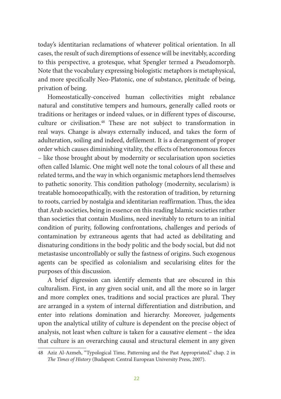today's identitarian reclamations of whatever political orientation. In all cases, the result of such diremptions of essence will be inevitably, according to this perspective, a grotesque, what Spengler termed a Pseudomorph. Note that the vocabulary expressing biologistic metaphors is metaphysical, and more specifically Neo-Platonic, one of substance, plenitude of being, privation of being.

Homeostatically-conceived human collectivities might rebalance natural and constitutive tempers and humours, generally called roots or traditions or heritages or indeed values, or in different types of discourse, culture or civilisation.48 These are not subject to transformation in real ways. Change is always externally induced, and takes the form of adulteration, soiling and indeed, defilement. It is a derangement of proper order which causes diminishing vitality, the effects of heteronomous forces – like those brought about by modernity or secularisation upon societies often called Islamic. One might well note the tonal colours of all these and related terms, and the way in which organismic metaphors lend themselves to pathetic sonority. This condition pathology (modernity, secularism) is treatable homoeopathically, with the restoration of tradition, by returning to roots, carried by nostalgia and identitarian reaffirmation. Thus, the idea that Arab societies, being in essence on this reading Islamic societies rather than societies that contain Muslims, need inevitably to return to an initial condition of purity, following confrontations, challenges and periods of contamination by extraneous agents that had acted as debilitating and disnaturing conditions in the body politic and the body social, but did not metastasise uncontrollably or sully the fastness of origins. Such exogenous agents can be specified as colonialism and secularising elites for the purposes of this discussion.

A brief digression can identify elements that are obscured in this culturalism. First, in any given social unit, and all the more so in larger and more complex ones, traditions and social practices are plural. They are arranged in a system of internal differentiation and distribution, and enter into relations domination and hierarchy. Moreover, judgements upon the analytical utility of culture is dependent on the precise object of analysis, not least when culture is taken for a causative element – the idea that culture is an overarching causal and structural element in any given

<sup>48</sup> Aziz Al-Azmeh, "Typological Time, Patterning and the Past Appropriated," chap. 2 in *The Times of History* (Budapest: Central European University Press, 2007).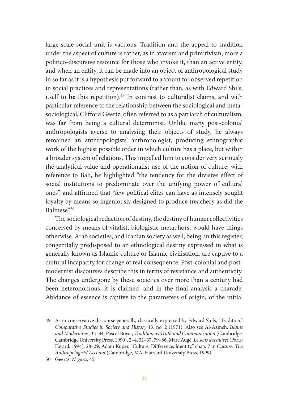large-scale social unit is vacuous. Tradition and the appeal to tradition under the aspect of culture is rather, as in atavism and primitivism, more a politico-discursive resource for those who invoke it, than an active entity, and when an entity, it can be made into an object of anthropological study in so far as it is a hypothesis put forward to account for observed repetition in social practices and representations (rather than, as with Edward Shils, itself to be this repetition).<sup>49</sup> In contrast to culturalist claims, and with particular reference to the relationship between the sociological and metasociological, Clifford Geertz, often referred to as a patriarch of culturalism, was far from being a cultural determinist. Unlike many post-colonial anthropologists averse to analysing their objects of study, he always remained an anthropologists' anthropologist, producing ethnographic work of the highest possible order in which culture has a place, but within a broader system of relations. This impelled him to consider very seriously the analytical value and operationalist use of the notion of culture: with reference to Bali, he highlighted "the tendency for the divisive effect of social institutions to predominate over the unifying power of cultural ones", and affirmed that "few political elites can have as intensely sought loyalty by means so ingeniously designed to produce treachery as did the Balinese".50

The sociological redaction of destiny, the destiny of human collectivities conceived by means of vitalist, biologistic metaphors, would have things otherwise. Arab societies, and Iranian society as well, being, in this register, congenitally predisposed to an ethnological destiny expressed in what is generally known as Islamic culture or Islamic civilisation, are captive to a cultural incapacity for change of real consequence. Post-colonial and postmodernist discourses describe this in terms of resistance and authenticity. The changes undergone by these societies over more than a century had been heteronomous, it is claimed, and in the final analysis a charade. Abidance of essence is captive to the parameters of origin, of the initial

<sup>49</sup> As in conservative discourse generally, classically expressed by Edward Shils, "Tradition," *Comparative Studies in Society and History* 13, no. 2 (1971). Also see Al-Azmeh, *Islams and Modernities*, 32–34; Pascal Boyer, *Tradition as Truth and Communication* (Cambridge: Cambridge University Press, 1990), 2–4, 32–37, 79–86; Marc Augé, *Le sens des autres* (Paris: Fayard, 1994), 28–29; Adam Kuper, "Culture, Difference, Identity," chap. 7 in *Culture: The Anthropologists' Account* (Cambridge, MA: Harvard University Press, 1999).

<sup>50</sup> Geertz, *Negara*, 45.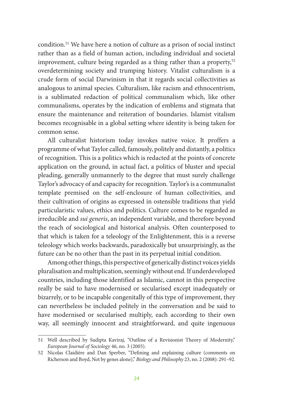condition.51 We have here a notion of culture as a prison of social instinct rather than as a field of human action, including individual and societal improvement, culture being regarded as a thing rather than a property, $52$ overdetermining society and trumping history. Vitalist culturalism is a crude form of social Darwinism in that it regards social collectivities as analogous to animal species. Culturalism, like racism and ethnocentrism, is a sublimated redaction of political communalism which, like other communalisms, operates by the indication of emblems and stigmata that ensure the maintenance and reiteration of boundaries. Islamist vitalism becomes recognisable in a global setting where identity is being taken for common sense.

All culturalist historism today invokes native voice. It proffers a programme of what Taylor called, famously, politely and distantly, a politics of recognition. This is a politics which is redacted at the points of concrete application on the ground, in actual fact, a politics of bluster and special pleading, generally unmannerly to the degree that must surely challenge Taylor's advocacy of and capacity for recognition. Taylor's is a communalist template premised on the self-enclosure of human collectivities, and their cultivation of origins as expressed in ostensible traditions that yield particularistic values, ethics and politics. Culture comes to be regarded as irreducible and *sui generis*, an independent variable, and therefore beyond the reach of sociological and historical analysis. Often counterposed to that which is taken for a teleology of the Enlightenment, this is a reverse teleology which works backwards, paradoxically but unsurprisingly, as the future can be no other than the past in its perpetual initial condition.

Among other things, this perspective of generically distinct voices yields pluralisation and multiplication, seemingly without end. If underdeveloped countries, including those identified as Islamic, cannot in this perspective really be said to have modernised or secularised except inadequately or bizarrely, or to be incapable congenitally of this type of improvement, they can nevertheless be included politely in the conversation and be said to have modernised or secularised multiply, each according to their own way, all seemingly innocent and straightforward, and quite ingenuous

<sup>51</sup> Well described by Sudipta Kaviraj, "Outline of a Revisionist Theory of Modernity," *European Journal of Sociology* 46, no. 3 (2005).

<sup>52</sup> Nicolas Claidière and Dan Sperber, "Defining and explaining culture (comments on Richerson and Boyd, Not by genes alone)," *Biology and Philosophy* 23, no. 2 (2008): 291–92.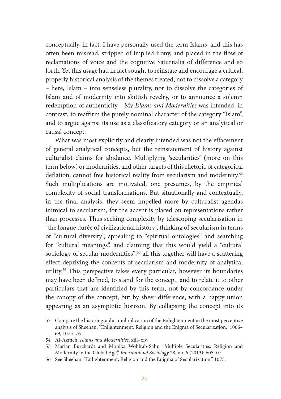conceptually, in fact. I have personally used the term Islams, and this has often been misread, stripped of implied irony, and placed in the flow of reclamations of voice and the cognitive Saturnalia of difference and so forth. Yet this usage had in fact sought to reinstate and encourage a critical, properly historical analysis of the themes treated, not to dissolve a category – here, Islam – into senseless plurality, nor to dissolve the categories of Islam and of modernity into skittish revelry, or to announce a solemn redemption of authenticity.53 My *Islams and Modernities* was intended, in contrast, to reaffirm the purely nominal character of the category "Islam", and to argue against its use as a classificatory category or an analytical or causal concept.

What was most explicitly and clearly intended was not the effacement of general analytical concepts, but the reinstatement of history against culturalist claims for abidance. Multiplying 'secularities' (more on this term below) or modernities, and other targets of this rhetoric of categorical deflation, cannot free historical reality from secularism and modernity.<sup>54</sup> Such multiplications are motivated, one presumes, by the empirical complexity of social transformations. But situationally and contextually, in the final analysis, they seem impelled more by culturalist agendas inimical to secularism, for the accent is placed on representations rather than processes. Thus seeking complexity by telescoping secularisation in "the longue durée of civilizational history", thinking of secularism in terms of "cultural diversity", appealing to "spiritual ontologies" and searching for "cultural meanings", and claiming that this would yield a "cultural sociology of secular modernities":<sup>55</sup> all this together will have a scattering effect depriving the concepts of secularism and modernity of analytical utility.56 This perspective takes every particular, however its boundaries may have been defined, to stand for the concept, and to relate it to other particulars that are identified by this term, not by concordance under the canopy of the concept, but by sheer difference, with a happy union appearing as an asymptotic horizon. By collapsing the concept into its

<sup>53</sup> Compare the historiographic multiplication of the Enlightenment in the most perceptive analysis of Sheehan, "Enlightenment, Religion and the Enigma of Secularization," 1066– 69, 1075–76.

<sup>54</sup> Al-Azmeh, *Islams and Modernities*, xiii–xiv.

<sup>55</sup> Marian Burchardt and Monika Wohlrab-Sahr, "Multiple Secularities: Religion and Modernity in the Global Age," *International Sociology* 28, no. 6 (2013): 605–07.

<sup>56</sup> See Sheehan, "Enlightenment, Religion and the Enigma of Secularization," 1075.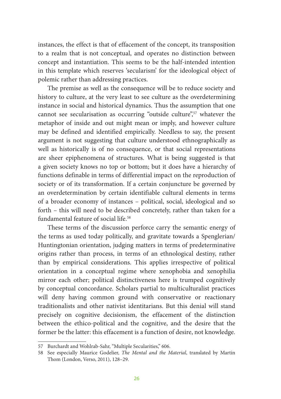instances, the effect is that of effacement of the concept, its transposition to a realm that is not conceptual, and operates no distinction between concept and instantiation. This seems to be the half-intended intention in this template which reserves 'secularism' for the ideological object of polemic rather than addressing practices.

The premise as well as the consequence will be to reduce society and history to culture, at the very least to see culture as the overdetermining instance in social and historical dynamics. Thus the assumption that one cannot see secularisation as occurring "outside culture",<sup>57</sup> whatever the metaphor of inside and out might mean or imply, and however culture may be defined and identified empirically. Needless to say, the present argument is not suggesting that culture understood ethnographically as well as historically is of no consequence, or that social representations are sheer epiphenomena of structures. What is being suggested is that a given society knows no top or bottom; but it does have a hierarchy of functions definable in terms of differential impact on the reproduction of society or of its transformation. If a certain conjuncture be governed by an overdetermination by certain identifiable cultural elements in terms of a broader economy of instances – political, social, ideological and so forth – this will need to be described concretely, rather than taken for a fundamental feature of social life.<sup>58</sup>

These terms of the discussion perforce carry the semantic energy of the terms as used today politically, and gravitate towards a Spenglerian/ Huntingtonian orientation, judging matters in terms of predeterminative origins rather than process, in terms of an ethnological destiny, rather than by empirical considerations. This applies irrespective of political orientation in a conceptual regime where xenophobia and xenophilia mirror each other; political distinctiveness here is trumped cognitively by conceptual concordance. Scholars partial to multiculturalist practices will deny having common ground with conservative or reactionary traditionalists and other nativist identitarians. But this denial will stand precisely on cognitive decisionism, the effacement of the distinction between the ethico-political and the cognitive, and the desire that the former be the latter: this effacement is a function of desire, not knowledge.

<sup>57</sup> Burchardt and Wohlrab-Sahr, "Multiple Secularities," 606.

<sup>58</sup> See especially Maurice Godelier, *The Mental and the Material*, translated by Martin Thom (London, Verso, 2011), 128–29.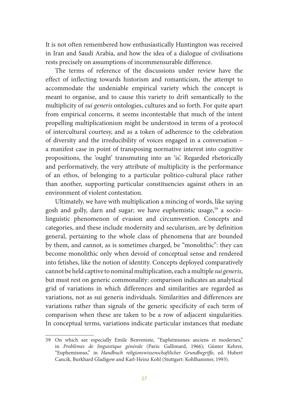It is not often remembered how enthusiastically Huntington was received in Iran and Saudi Arabia, and how the idea of a dialogue of civilisations rests precisely on assumptions of incommensurable difference.

The terms of reference of the discussions under review have the effect of inflecting towards historism and romanticism, the attempt to accommodate the undeniable empirical variety which the concept is meant to organise, and to cause this variety to drift semantically to the multiplicity of *sui generis* ontologies, cultures and so forth. For quite apart from empirical concerns, it seems incontestable that much of the intent propelling multiplicationism might be understood in terms of a protocol of intercultural courtesy, and as a token of adherence to the celebration of diversity and the irreducibility of voices engaged in a conversation – a manifest case in point of transposing normative interest into cognitive propositions, the 'ought' transmuting into an 'is'. Regarded rhetorically and performatively, the very attribute of multiplicity is the performance of an ethos, of belonging to a particular politico-cultural place rather than another, supporting particular constituencies against others in an environment of violent contestation.

Ultimately, we have with multiplication a mincing of words, like saying gosh and golly, darn and sugar; we have euphemistic usage,<sup>59</sup> a sociolinguistic phenomenon of evasion and circumvention. Concepts and categories, and these include modernity and secularism, are by definition general, pertaining to the whole class of phenomena that are bounded by them, and cannot, as is sometimes charged, be "monolithic": they can become monolithic only when devoid of conceptual sense and rendered into fetishes, like the notion of identity. Concepts deployed comparatively cannot be held captive to nominal multiplication, each a multiple *sui generis*, but must rest on generic commonality: comparison indicates an analytical grid of variations in which differences and similarities are regarded as variations, not as sui generis individuals. Similarities and differences are variations rather than signals of the generic specificity of each term of comparison when these are taken to be a row of adjacent singularities. In conceptual terms, variations indicate particular instances that mediate

<sup>59</sup> On which see especially Emile Benveniste, "Euphémismes anciens et modernes," in *Problèmes de linguistique générale* (Paris: Gallimard, 1966); Günter Kehrer, "Euphemismus," in *Handbuch religionswissenschaftlicher Grundbegriffe*, ed. Hubert Cancik, Burkhard Gladigow and Karl-Heinz Kohl (Stuttgart: Kohlhammer, 1993).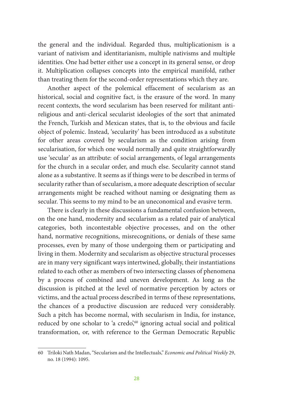the general and the individual. Regarded thus, multiplicationism is a variant of nativism and identitarianism, multiple nativisms and multiple identities. One had better either use a concept in its general sense, or drop it. Multiplication collapses concepts into the empirical manifold, rather than treating them for the second-order representations which they are.

Another aspect of the polemical effacement of secularism as an historical, social and cognitive fact, is the erasure of the word. In many recent contexts, the word secularism has been reserved for militant antireligious and anti-clerical secularist ideologies of the sort that animated the French, Turkish and Mexican states, that is, to the obvious and facile object of polemic. Instead, 'secularity' has been introduced as a substitute for other areas covered by secularism as the condition arising from secularisation, for which one would normally and quite straightforwardly use 'secular' as an attribute: of social arrangements, of legal arrangements for the church in a secular order, and much else. Secularity cannot stand alone as a substantive. It seems as if things were to be described in terms of secularity rather than of secularism, a more adequate description of secular arrangements might be reached without naming or designating them as secular. This seems to my mind to be an uneconomical and evasive term.

There is clearly in these discussions a fundamental confusion between, on the one hand, modernity and secularism as a related pair of analytical categories, both incontestable objective processes, and on the other hand, normative recognitions, misrecognitions, or denials of these same processes, even by many of those undergoing them or participating and living in them. Modernity and secularism as objective structural processes are in many very significant ways intertwined, globally, their instantiations related to each other as members of two intersecting classes of phenomena by a process of combined and uneven development. As long as the discussion is pitched at the level of normative perception by actors or victims, and the actual process described in terms of these representations, the chances of a productive discussion are reduced very considerably. Such a pitch has become normal, with secularism in India, for instance, reduced by one scholar to 'a credo',<sup>60</sup> ignoring actual social and political transformation, or, with reference to the German Democratic Republic

<sup>60</sup> Triloki Nath Madan, "Secularism and the Intellectuals," *Economic and Political Weekly* 29, no. 18 (1994): 1095.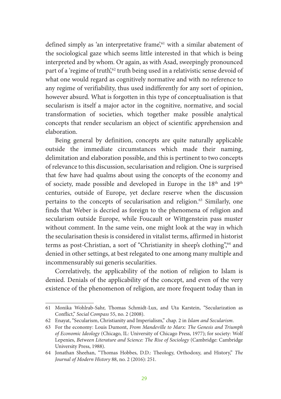defined simply as 'an interpretative frame',<sup>61</sup> with a similar abatement of the sociological gaze which seems little interested in that which is being interpreted and by whom. Or again, as with Asad, sweepingly pronounced part of a 'regime of truth',<sup>62</sup> truth being used in a relativistic sense devoid of what one would regard as cognitively normative and with no reference to any regime of verifiability, thus used indifferently for any sort of opinion, however absurd. What is forgotten in this type of conceptualisation is that secularism is itself a major actor in the cognitive, normative, and social transformation of societies, which together make possible analytical concepts that render secularism an object of scientific apprehension and elaboration.

Being general by definition, concepts are quite naturally applicable outside the immediate circumstances which made their naming, delimitation and elaboration possible, and this is pertinent to two concepts of relevance to this discussion, secularisation and religion. One is surprised that few have had qualms about using the concepts of the economy and of society, made possible and developed in Europe in the 18<sup>th</sup> and 19<sup>th</sup> centuries, outside of Europe, yet declare reserve when the discussion pertains to the concepts of secularisation and religion.<sup>63</sup> Similarly, one finds that Weber is decried as foreign to the phenomena of religion and secularism outside Europe, while Foucault or Wittgenstein pass muster without comment. In the same vein, one might look at the way in which the secularisation thesis is considered in vitalist terms, affirmed in historist terms as post-Christian, a sort of "Christianity in sheep's clothing",64 and denied in other settings, at best relegated to one among many multiple and incommensurably sui generis secularities.

Correlatively, the applicability of the notion of religion to Islam is denied. Denials of the applicability of the concept, and even of the very existence of the phenomenon of religion, are more frequent today than in

<sup>61</sup> Monika Wohlrab-Sahr, Thomas Schmidt-Lux, and Uta Karstein, "Secularization as Conflict," *Social Compass* 55, no. 2 (2008).

<sup>62</sup> Enayat, "Secularism, Christianity and Imperialism," chap. 2 in *Islam and Secularism*.

<sup>63</sup> For the economy: Louis Dumont, *From Mandeville to Marx: The Genesis and Triumph of Economic Ideology* (Chicago, IL: University of Chicago Press, 1977); for society: Wolf Lepenies, *Between Literature and Science: The Rise of Sociology* (Cambridge: Cambridge University Press, 1988).

<sup>64</sup> Jonathan Sheehan, "Thomas Hobbes, D.D.: Theology, Orthodoxy, and History," *The Journal of Modern History* 88, no. 2 (2016): 251.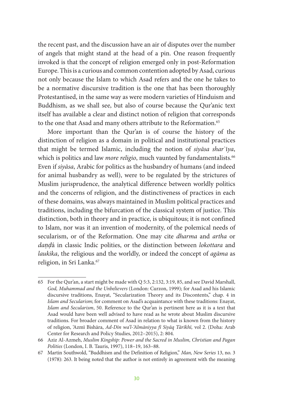the recent past, and the discussion have an air of disputes over the number of angels that might stand at the head of a pin. One reason frequently invoked is that the concept of religion emerged only in post-Reformation Europe. This is a curious and common contention adopted by Asad, curious not only because the Islam to which Asad refers and the one he takes to be a normative discursive tradition is the one that has been thoroughly Protestantised, in the same way as were modern varieties of Hinduism and Buddhism, as we shall see, but also of course because the Qur'anic text itself has available a clear and distinct notion of religion that corresponds to the one that Asad and many others attribute to the Reformation.<sup>65</sup>

More important than the Qur'an is of course the history of the distinction of religion as a domain in political and institutional practices that might be termed Islamic, including the notion of *siyāsa shar*ʿī*ya*, which is politics and law *more religio*, much vaunted by fundamentalists.<sup>66</sup> Even if *siyāsa*, Arabic for politics as the husbandry of humans (and indeed for animal husbandry as well), were to be regulated by the strictures of Muslim jurisprudence, the analytical difference between worldly politics and the concerns of religion, and the distinctiveness of practices in each of these domains, was always maintained in Muslim political practices and traditions, including the bifurcation of the classical system of justice. This distinction, both in theory and in practice, is ubiquitous; it is not confined to Islam, nor was it an invention of modernity, of the polemical needs of secularism, or of the Reformation. One may cite *dharma* and *artha* or *daṇḍ*á in classic Indic polities, or the distinction between *lokottara* and *laukika*, the religious and the worldly, or indeed the concept of *agāma* as religion, in Sri Lanka.<sup>67</sup>

<sup>65</sup> For the Qur'an, a start might be made with Q 5:3, 2:132, 3:19, 85, and see David Marshall, *God, Muhammad and the Unbelievers* (London: Curzon, 1999); for Asad and his Islamic discursive traditions, Enayat, "Secularization Theory and its Discontents," chap. 4 in *Islam and Secularism*; for comment on Asad's acquaintance with these traditions: Enayat, *Islam and Secularism*, 50. Reference to the Qur'an is pertinent here as it is a text that Asad would have been well advised to have read as he wrote about Muslim discursive traditions. For broader comment of Asad in relation to what is known from the history of religion, 'Azmī Bishāra, *Ad-Dīn wa'l-'Almāniyya fī Siyāq Tārīkhī,* vol 2. (Doha: Arab Center for Research and Policy Studies, 2012–2015), 2: 804.

<sup>66</sup> Aziz Al-Azmeh, *Muslim Kingship: Power and the Sacred in Muslim, Christian and Pagan Polities* (London, I. B. Tauris, 1997), 118–19, 163–88.

<sup>67</sup> Martin Southwold, "Buddhism and the Definition of Religion," *Man, New Series* 13, no. 3 (1978): 263. It being noted that the author is not entirely in agreement with the meaning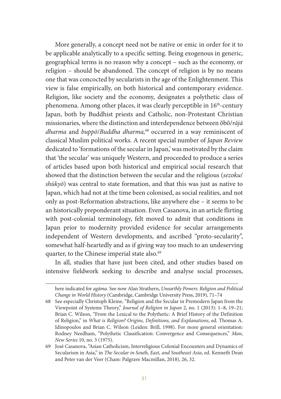More generally, a concept need not be native or emic in order for it to be applicable analytically to a specific setting. Being exogenous in generic, geographical terms is no reason why a concept – such as the economy, or religion – should be abandoned. The concept of religion is by no means one that was concocted by secularists in the age of the Enlightenment. This view is false empirically, on both historical and contemporary evidence. Religion, like society and the economy, designates a polythetic class of phenomena. Among other places, it was clearly perceptible in 16<sup>th</sup>-century Japan, both by Buddhist priests and Catholic, non-Protestant Christian missionaries, where the distinction and interdependence between ōbō/*rājā dharma* and *buppō*/*Buddha dharma,*68 occurred in a way reminiscent of classical Muslim political works. A recent special number of *Japan Review* dedicated to 'formations of the secular in Japan,' was motivated by the claim that 'the secular' was uniquely Western, and proceeded to produce a series of articles based upon both historical and empirical social research that showed that the distinction between the secular and the religious (*sezoku*/ *shūkyō*) was central to state formation, and that this was just as native to Japan, which had not at the time been colonised, as social realities, and not only as post-Reformation abstractions, like anywhere else – it seems to be an historically preponderant situation. Even Casanova, in an article flirting with post-colonial terminology, felt moved to admit that conditions in Japan prior to modernity provided evidence for secular arrangements independent of Western developments, and ascribed "proto-secularity", somewhat half-heartedly and as if giving way too much to an undeserving quarter, to the Chinese imperial state also.<sup>69</sup>

In all, studies that have just been cited, and other studies based on intensive fieldwork seeking to describe and analyse social processes,

here indicated for *agāma*. See now Alan Strathern, *Unearthly Powers: Religion and Political Change in World History* (Cambridge, Cambridge University Press, 2019), 71–74

<sup>68</sup> See especially Christoph Kleine, "Religion and the Secular in Premodern Japan from the Viewpoint of Systems Theory," *Journal of Religion in Japan* 2, no. 1 (2013): 1–8, 19–21; Brian C. Wilson, "From the Lexical to the Polythetic: A Brief History of the Definition of Religion," in *What is Religion? Origins, Definitions, and Explanations*, ed. Thomas A. Idinopoulos and Brian C. Wilson (Leiden: Brill, 1998). For more general orientation: Rodney Needham, "Polythetic Classification: Convergence and Consequences," *Man*, *New Series* 10, no. 3 (1975).

<sup>69</sup> José Casanova, "Asian Catholicism, Interreligious Colonial Encounters and Dynamics of Secularism in Asia," in *The Secular in South, East, and Southeast Asia*, ed. Kenneth Dean and Peter van der Veer (Cham: Palgrave Macmillan, 2018), 26, 32.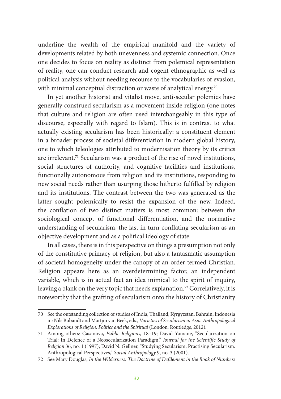underline the wealth of the empirical manifold and the variety of developments related by both unevenness and systemic connection. Once one decides to focus on reality as distinct from polemical representation of reality, one can conduct research and cogent ethnographic as well as political analysis without needing recourse to the vocabularies of evasion, with minimal conceptual distraction or waste of analytical energy.<sup>70</sup>

In yet another historist and vitalist move, anti-secular polemics have generally construed secularism as a movement inside religion (one notes that culture and religion are often used interchangeably in this type of discourse, especially with regard to Islam). This is in contrast to what actually existing secularism has been historically: a constituent element in a broader process of societal differentiation in modern global history, one to which teleologies attributed to modernisation theory by its critics are irrelevant.71 Secularism was a product of the rise of novel institutions, social structures of authority, and cognitive facilities and institutions, functionally autonomous from religion and its institutions, responding to new social needs rather than usurping those hitherto fulfilled by religion and its institutions. The contrast between the two was generated as the latter sought polemically to resist the expansion of the new. Indeed, the conflation of two distinct matters is most common: between the sociological concept of functional differentiation, and the normative understanding of secularism, the last in turn conflating secularism as an objective development and as a political ideology of state.

In all cases, there is in this perspective on things a presumption not only of the constitutive primacy of religion, but also a fantasmatic assumption of societal homogeneity under the canopy of an order termed Christian. Religion appears here as an overdetermining factor, an independent variable, which is in actual fact an idea inimical to the spirit of inquiry, leaving a blank on the very topic that needs explanation.<sup>72</sup> Correlatively, it is noteworthy that the grafting of secularism onto the history of Christianity

<sup>70</sup> See the outstanding collection of studies of India, Thailand, Kyrgyzstan, Bahrain, Indonesia in: Nils Bubandt and Martjin van Beek, eds., *Varieties of Secularism in Asia. Anthropological Explorations of Religion, Politics and the Spiritual* (London: Routledge, 2012).

<sup>71</sup> Among others: Casanova, *Public Religions*, 18–19; David Yamane, "Secularization on Trial: In Defence of a Neosecularization Paradigm," *Journal for the Scientific Study of Religion* 36, no. 1 (1997); David N. Gellner, "Studying Secularism, Practising Secularism. Anthropological Perspectives," *Social Anthropology* 9, no. 3 (2001).

<sup>72</sup> See Mary Douglas, *In the Wilderness: The Doctrine of Defilement in the Book of Numbers*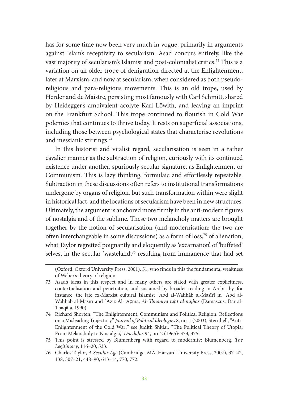has for some time now been very much in vogue, primarily in arguments against Islam's receptivity to secularism. Asad concurs entirely, like the vast majority of secularism's Islamist and post-colonialist critics.73 This is a variation on an older trope of denigration directed at the Enlightenment, later at Marxism, and now at secularism, when considered as both pseudoreligious and para-religious movements. This is an old trope, used by Herder and de Maistre, persisting most famously with Carl Schmitt, shared by Heidegger's ambivalent acolyte Karl Löwith, and leaving an imprint on the Frankfurt School. This trope continued to flourish in Cold War polemics that continues to thrive today. It rests on superficial associations, including those between psychological states that characterise revolutions and messianic stirrings.74

In this historist and vitalist regard, secularisation is seen in a rather cavalier manner as the subtraction of religion, curiously with its continued existence under another, spuriously secular signature, as Enlightenment or Communism. This is lazy thinking, formulaic and effortlessly repeatable. Subtraction in these discussions often refers to institutional transformations undergone by organs of religion, but such transformation within were slight in historical fact, and the locations of secularism have been in new structures. Ultimately, the argument is anchored more firmly in the anti-modern figures of nostalgia and of the sublime. These two melancholy matters are brought together by the notion of secularisation (and modernisation: the two are often interchangeable in some discussions) as a form of loss,75 of alienation, what Taylor regretted poignantly and eloquently as 'excarnation', of 'buffeted' selves, in the secular 'wasteland',<sup>76</sup> resulting from immanence that had set

<sup>(</sup>Oxford: Oxford University Press, 2001), 51, who finds in this the fundamental weakness of Weber's theory of religion.

<sup>73</sup> Asad's ideas in this respect and in many others are stated with greater explicitness, contextualisation and penetration, and sustained by broader reading in Arabic by, for instance, the late ex-Marxist cultural Islamist ʿAbd al-Wahhāb al-Masīrī in ʿAbd al-Wahhāb al-Masīrī and ʿAzīz Al-ʿAẓma, *Al-ʿIlmānīya taḥt al-mijhar* (Damascus: Dār al-Thaqāfa, 1990).

<sup>74</sup> Richard Shorten, "The Enlightenment, Communism and Political Religion: Reflections on a Misleading Trajectory," *Journal of Political Ideologies* 8, no. 1 (2003); Sternhell, "Anti-Enlightenment of the Cold War;" see Judith Shklar, "The Political Theory of Utopia: From Melancholy to Nostalgia," *Daedalus* 94, no. 2 (1965): 373, 375.

<sup>75</sup> This point is stressed by Blumenberg with regard to modernity: Blumenberg, *The Legitimacy*, 116–20, 533.

<sup>76</sup> Charles Taylor, *A Secular Age* (Cambridge, MA: Harvard University Press, 2007), 37–42, 138, 307–21, 448–90, 613–14, 770, 772.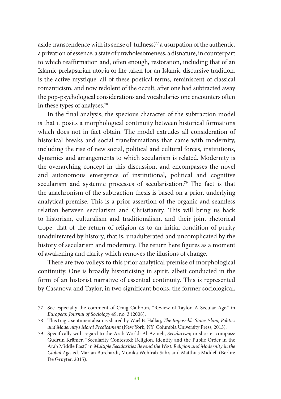aside transcendence with its sense of 'fullness',77 a usurpation of the authentic, a privation of essence, a state of unwholesomeness, a disnature, in counterpart to which reaffirmation and, often enough, restoration, including that of an Islamic prelapsarian utopia or life taken for an Islamic discursive tradition, is the active mystique: all of these poetical terms, reminiscent of classical romanticism, and now redolent of the occult, after one had subtracted away the pop-psychological considerations and vocabularies one encounters often in these types of analyses.78

In the final analysis, the specious character of the subtraction model is that it posits a morphological continuity between historical formations which does not in fact obtain. The model extrudes all consideration of historical breaks and social transformations that came with modernity, including the rise of new social, political and cultural forces, institutions, dynamics and arrangements to which secularism is related. Modernity is the overarching concept in this discussion, and encompasses the novel and autonomous emergence of institutional, political and cognitive secularism and systemic processes of secularisation.79 The fact is that the anachronism of the subtraction thesis is based on a prior, underlying analytical premise. This is a prior assertion of the organic and seamless relation between secularism and Christianity. This will bring us back to historism, culturalism and traditionalism, and their joint rhetorical trope, that of the return of religion as to an initial condition of purity unadulterated by history, that is, unadulterated and uncomplicated by the history of secularism and modernity. The return here figures as a moment of awakening and clarity which removes the illusions of change.

There are two volleys to this prior analytical premise of morphological continuity. One is broadly historicising in spirit, albeit conducted in the form of an historist narrative of essential continuity. This is represented by Casanova and Taylor, in two significant books, the former sociological,

<sup>77</sup> See especially the comment of Craig Calhoun, "Review of Taylor, A Secular Age," in *European Journal of Sociology* 49, no. 3 (2008).

<sup>78</sup> This tragic sentimentalism is shared by Wael B. Hallaq, *The Impossible State: Islam, Politics and Modernity's Moral Predicament* (New York, NY: Columbia University Press, 2013).

<sup>79</sup> Specifically with regard to the Arab World: Al-Azmeh, *Secularism*; in shorter compass: Gudrun Krämer, "Secularity Contested: Religion, Identity and the Public Order in the Arab Middle East," in *Multiple Secularities Beyond the West: Religion and Modernity in the Global Age*, ed. Marian Burchardt, Monika Wohlrab-Sahr, and Matthias Middell (Berlin: De Gruyter, 2015).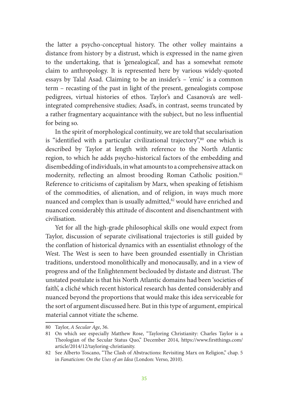the latter a psycho-conceptual history. The other volley maintains a distance from history by a distrust, which is expressed in the name given to the undertaking, that is 'genealogical', and has a somewhat remote claim to anthropology. It is represented here by various widely-quoted essays by Talal Asad. Claiming to be an insider's – 'emic' is a common term – recasting of the past in light of the present, genealogists compose pedigrees, virtual histories of ethos. Taylor's and Casanova's are wellintegrated comprehensive studies; Asad's, in contrast, seems truncated by a rather fragmentary acquaintance with the subject, but no less influential for being so.

In the spirit of morphological continuity, we are told that secularisation is "identified with a particular civilizational trajectory",80 one which is described by Taylor at length with reference to the North Atlantic region, to which he adds psycho-historical factors of the embedding and disembedding of individuals, in what amounts to a comprehensive attack on modernity, reflecting an almost brooding Roman Catholic position.<sup>81</sup> Reference to criticisms of capitalism by Marx, when speaking of fetishism of the commodities, of alienation, and of religion, in ways much more nuanced and complex than is usually admitted,<sup>82</sup> would have enriched and nuanced considerably this attitude of discontent and disenchantment with civilisation.

Yet for all the high-grade philosophical skills one would expect from Taylor, discussion of separate civilisational trajectories is still guided by the conflation of historical dynamics with an essentialist ethnology of the West. The West is seen to have been grounded essentially in Christian traditions, understood monolithically and monocausally, and in a view of progress and of the Enlightenment beclouded by distaste and distrust. The unstated postulate is that his North Atlantic domains had been 'societies of faith', a cliché which recent historical research has dented considerably and nuanced beyond the proportions that would make this idea serviceable for the sort of argument discussed here. But in this type of argument, empirical material cannot vitiate the scheme.

<sup>80</sup> Taylor, *A Secular Age*, 36.

<sup>81</sup> On which see especially Matthew Rose, "Tayloring Christianity: Charles Taylor is a Theologian of the Secular Status Quo," December 2014, https://www.firstthings.com/ article/2014/12/tayloring-christianity.

<sup>82</sup> See Alberto Toscano, "The Clash of Abstractions: Revisiting Marx on Religion," chap. 5 in *Fanaticism: On the Uses of an Idea* (London: Verso, 2010).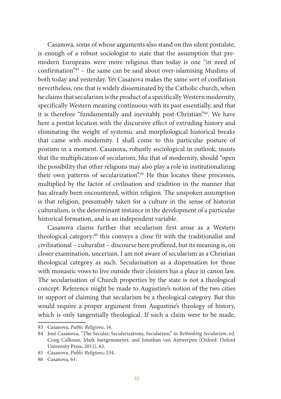Casanova, some of whose arguments also stand on this silent postulate, is enough of a robust sociologist to state that the assumption that premodern Europeans were more religious than today is one "in need of confirmation"83 – the same can be said about over-islamising Muslims of both today and yesterday. Yet Casanova makes the same sort of conflation nevertheless, one that is widely disseminated by the Catholic church, when he claims that secularism is the product of a specifically Western modernity, specifically Western meaning continuous with its past essentially, and that it is therefore "fundamentally and inevitably post-Christian"<sup>84</sup>. We have here a postist location with the discursive effect of extruding history and eliminating the weight of systemic and morphological historical breaks that came with modernity. I shall come to this particular posture of postism in a moment. Casanova, robustly sociological in outlook, insists that the multiplication of secularism, like that of modernity, should "open the possibility that other religions may also play a role in institutionalizing their own patterns of secularization".<sup>85</sup> He thus locates these processes, multiplied by the factor of civilisation and tradition in the manner that has already been encountered, within religion. The unspoken assumption is that religion, presumably taken for a culture in the sense of historist culturalism, is the determinant instance in the development of a particular historical formation, and is an independent variable.

Casanova claims further that secularism first arose as a Western theological category:86 this conveys a close fit with the traditionalist and civilisational – culturalist – discourse here proffered, but its meaning is, on closer examination, uncertain. I am not aware of secularism as a Christian theological category as such. Secularisation as a dispensation for those with monastic vows to live outside their cloisters has a place in canon law. The secularisation of Church properties by the state is not a theological concept. Reference might be made to Augustine's notion of the two cities in support of claiming that secularism be a theological category. But this would require a proper argument from Augustine's theology of history, which is only tangentially theological. If such a claim were to be made,

<sup>83</sup> Casanova, *Public Religions*, 16.

<sup>84</sup> José Casanova, "The Secular, Secularizations, Secularism," in *Rethinking Secularism*, ed. Craig Calhoun, Mark Juergensmeyer, and Jonathan van Antwerpen (Oxford: Oxford University Press, 2011), 63.

<sup>85</sup> Casanova, *Public Religions*, 234.

<sup>86</sup> Casanova, 61.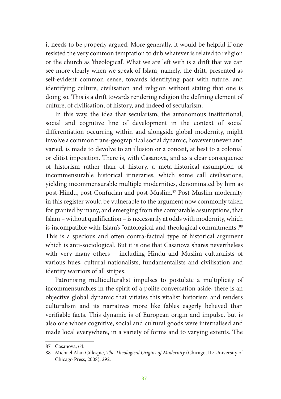it needs to be properly argued. More generally, it would be helpful if one resisted the very common temptation to dub whatever is related to religion or the church as 'theological'. What we are left with is a drift that we can see more clearly when we speak of Islam, namely, the drift, presented as self-evident common sense, towards identifying past with future, and identifying culture, civilisation and religion without stating that one is doing so. This is a drift towards rendering religion the defining element of culture, of civilisation, of history, and indeed of secularism.

In this way, the idea that secularism, the autonomous institutional, social and cognitive line of development in the context of social differentiation occurring within and alongside global modernity, might involve a common trans-geographical social dynamic, however uneven and varied, is made to devolve to an illusion or a conceit, at best to a colonial or elitist imposition. There is, with Casanova, and as a clear consequence of historism rather than of history, a meta-historical assumption of incommensurable historical itineraries, which some call civilisations, yielding incommensurable multiple modernities, denominated by him as post-Hindu, post-Confucian and post-Muslim.87 Post-Muslim modernity in this register would be vulnerable to the argument now commonly taken for granted by many, and emerging from the comparable assumptions, that Islam – without qualification – is necessarily at odds with modernity, which is incompatible with Islam's "ontological and theological commitments".<sup>88</sup> This is a specious and often contra-factual type of historical argument which is anti-sociological. But it is one that Casanova shares nevertheless with very many others – including Hindu and Muslim culturalists of various hues, cultural nationalists, fundamentalists and civilisation and identity warriors of all stripes.

Patronising multiculturalist impulses to postulate a multiplicity of incommensurables in the spirit of a polite conversation aside, there is an objective global dynamic that vitiates this vitalist historism and renders culturalism and its narratives more like fables eagerly believed than verifiable facts. This dynamic is of European origin and impulse, but is also one whose cognitive, social and cultural goods were internalised and made local everywhere, in a variety of forms and to varying extents. The

<sup>87</sup> Casanova, 64.

<sup>88</sup> Michael Alan Gillespie, *The Theological Origins of Modernity* (Chicago, IL: University of Chicago Press, 2008), 292.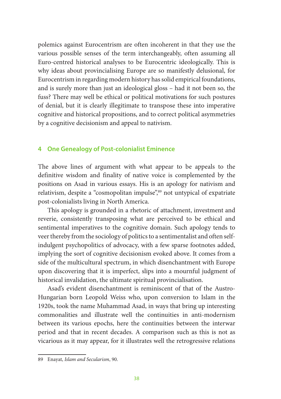polemics against Eurocentrism are often incoherent in that they use the various possible senses of the term interchangeably, often assuming all Euro-centred historical analyses to be Eurocentric ideologically. This is why ideas about provincialising Europe are so manifestly delusional, for Eurocentrism in regarding modern history has solid empirical foundations, and is surely more than just an ideological gloss – had it not been so, the fuss? There may well be ethical or political motivations for such postures of denial, but it is clearly illegitimate to transpose these into imperative cognitive and historical propositions, and to correct political asymmetries by a cognitive decisionism and appeal to nativism.

#### **4 One Genealogy of Post-colonialist Eminence**

The above lines of argument with what appear to be appeals to the definitive wisdom and finality of native voice is complemented by the positions on Asad in various essays. His is an apology for nativism and relativism, despite a "cosmopolitan impulse",89 not untypical of expatriate post-colonialists living in North America.

This apology is grounded in a rhetoric of attachment, investment and reverie, consistently transposing what are perceived to be ethical and sentimental imperatives to the cognitive domain. Such apology tends to veer thereby from the sociology of politics to a sentimentalist and often selfindulgent psychopolitics of advocacy, with a few sparse footnotes added, implying the sort of cognitive decisionism evoked above. It comes from a side of the multicultural spectrum, in which disenchantment with Europe upon discovering that it is imperfect, slips into a mournful judgment of historical invalidation, the ultimate spiritual provincialisation.

Asad's evident disenchantment is reminiscent of that of the Austro-Hungarian born Leopold Weiss who, upon conversion to Islam in the 1920s, took the name Muhammad Asad, in ways that bring up interesting commonalities and illustrate well the continuities in anti-modernism between its various epochs, here the continuities between the interwar period and that in recent decades. A comparison such as this is not as vicarious as it may appear, for it illustrates well the retrogressive relations

<sup>89</sup> Enayat, *Islam and Secularism*, 90.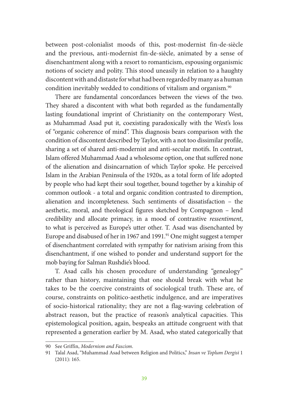between post-colonialist moods of this, post-modernist fin-de-siècle and the previous, anti-modernist fin-de-siècle, animated by a sense of disenchantment along with a resort to romanticism, espousing organismic notions of society and polity. This stood uneasily in relation to a haughty discontent with and distaste for what had been regarded by many as a human condition inevitably wedded to conditions of vitalism and organism.<sup>90</sup>

There are fundamental concordances between the views of the two. They shared a discontent with what both regarded as the fundamentally lasting foundational imprint of Christianity on the contemporary West, as Muhammad Asad put it, coexisting paradoxically with the West's loss of "organic coherence of mind". This diagnosis bears comparison with the condition of discontent described by Taylor, with a not too dissimilar profile, sharing a set of shared anti-modernist and anti-secular motifs. In contrast, Islam offered Muhammad Asad a wholesome option, one that suffered none of the alienation and disincarnation of which Taylor spoke. He perceived Islam in the Arabian Peninsula of the 1920s, as a total form of life adopted by people who had kept their soul together, bound together by a kinship of common outlook - a total and organic condition contrasted to diremption, alienation and incompleteness. Such sentiments of dissatisfaction – the aesthetic, moral, and theological figures sketched by Compagnon – lend credibility and allocate primacy, in a mood of contrastive *ressentiment*, to what is perceived as Europe's utter other. T. Asad was disenchanted by Europe and disabused of her in 1967 and 1991.<sup>91</sup> One might suggest a temper of disenchantment correlated with sympathy for nativism arising from this disenchantment, if one wished to ponder and understand support for the mob baying for Salman Rushdie's blood.

T. Asad calls his chosen procedure of understanding "genealogy" rather than history, maintaining that one should break with what he takes to be the coercive constraints of sociological truth. These are, of course, constraints on politico-aesthetic indulgence, and are imperatives of socio-historical rationality; they are not a flag-waving celebration of abstract reason, but the practice of reason's analytical capacities. This epistemological position, again, bespeaks an attitude congruent with that represented a generation earlier by M. Asad, who stated categorically that

<sup>90</sup> See Griffin, *Modernism and Fascism*.

<sup>91</sup> Talal Asad, "Muhammad Asad between Religion and Politics," *Insan ve Toplum Dergisi* 1 (2011): 165.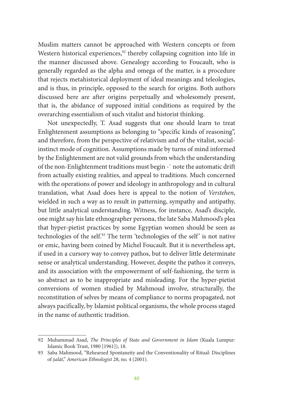Muslim matters cannot be approached with Western concepts or from Western historical experiences, $92$  thereby collapsing cognition into life in the manner discussed above. Genealogy according to Foucault, who is generally regarded as the alpha and omega of the matter, is a procedure that rejects metahistorical deployment of ideal meanings and teleologies, and is thus, in principle, opposed to the search for origins. Both authors discussed here are after origins perpetually and wholesomely present, that is, the abidance of supposed initial conditions as required by the overarching essentialism of such vitalist and historist thinking.

Not unexpectedly, T. Asad suggests that one should learn to treat Enlightenment assumptions as belonging to "specific kinds of reasoning", and therefore, from the perspective of relativism and of the vitalist, socialinstinct mode of cognition. Assumptions made by turns of mind informed by the Enlightenment are not valid grounds from which the understanding of the non-Enlightenment traditions must begin -<sup>-</sup> note the automatic drift from actually existing realities, and appeal to traditions. Much concerned with the operations of power and ideology in anthropology and in cultural translation, what Asad does here is appeal to the notion of *Verstehen*, wielded in such a way as to result in patterning, sympathy and antipathy, but little analytical understanding. Witness, for instance, Asad's disciple, one might say his late ethnographer persona, the late Saba Mahmood's plea that hyper-pietist practices by some Egyptian women should be seen as technologies of the self.<sup>93</sup> The term 'technologies of the self' is not native or emic, having been coined by Michel Foucault. But it is nevertheless apt, if used in a cursory way to convey pathos, but to deliver little determinate sense or analytical understanding. However, despite the pathos it conveys, and its association with the empowerment of self-fashioning, the term is so abstract as to be inappropriate and misleading. For the hyper-pietist conversions of women studied by Mahmoud involve, structurally, the reconstitution of selves by means of compliance to norms propagated, not always pacifically, by Islamist political organisms, the whole process staged in the name of authentic tradition.

<sup>92</sup> Muhammad Asad, *The Principles of State and Government in Islam* (Kuala Lumpur: Islamic Book Trust, 1980 [1961]), 18.

<sup>93</sup> Saba Mahmood, "Rehearsed Spontaneity and the Conventionality of Ritual: Disciplines of *ṣalāt*," *American Ethnologist* 28, no. 4 (2001).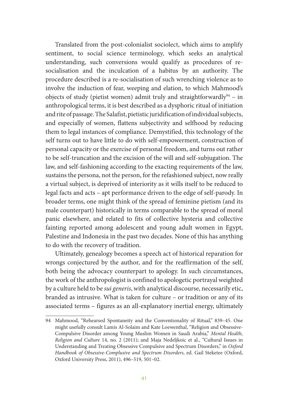Translated from the post-colonialist sociolect, which aims to amplify sentiment, to social science terminology, which seeks an analytical understanding, such conversions would qualify as procedures of resocialisation and the inculcation of a habitus by an authority. The procedure described is a re-socialisation of such wrenching violence as to involve the induction of fear, weeping and elation, to which Mahmood's objects of study (pietist women) admit truly and straightforwardly<sup>94</sup> – in anthropological terms, it is best described as a dysphoric ritual of initiation and rite of passage. The Salafist, pietistic juridification of individual subjects, and especially of women, flattens subjectivity and selfhood by reducing them to legal instances of compliance. Demystified, this technology of the self turns out to have little to do with self-empowerment, construction of personal capacity or the exercise of personal freedom, and turns out rather to be self-truncation and the excision of the will and self-subjugation. The law, and self-fashioning according to the exacting requirements of the law, sustains the persona, not the person, for the refashioned subject, now really a virtual subject, is deprived of interiority as it wills itself to be reduced to legal facts and acts – apt performance driven to the edge of self-parody. In broader terms, one might think of the spread of feminine pietism (and its male counterpart) historically in terms comparable to the spread of moral panic elsewhere, and related to fits of collective hysteria and collective fainting reported among adolescent and young adult women in Egypt, Palestine and Indonesia in the past two decades. None of this has anything to do with the recovery of tradition.

Ultimately, genealogy becomes a speech act of historical reparation for wrongs conjectured by the author, and for the reaffirmation of the self, both being the advocacy counterpart to apology. In such circumstances, the work of the anthropologist is confined to apologetic portrayal weighted by a culture held to be *sui generis*, with analytical discourse, necessarily etic, branded as intrusive. What is taken for culture – or tradition or any of its associated terms – figures as an all-explanatory inertial energy, ultimately

<sup>94</sup> Mahmood, "Rehearsed Spontaneity and the Conventionality of Ritual," 839–45. One might usefully consult Lamis Al-Solaim and Kate Loewenthal, "Religion and Obsessive-Compulsive Disorder among Young Muslim Women in Saudi Arabia," *Mental Health, Religion and Culture* 14, no. 2 (2011); and Maja Nedeljkoic et al., "Cultural Issues in Understanding and Treating Obsessive Compulsive and Spectrum Disorders," in *Oxford Handbook of Obsessive-Complusive and Spectrum Disorders*, ed. Gail Steketee (Oxford, Oxford University Press, 2011), 496–519, 501–02.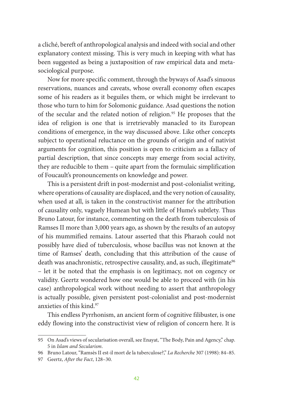a cliché, bereft of anthropological analysis and indeed with social and other explanatory context missing. This is very much in keeping with what has been suggested as being a juxtaposition of raw empirical data and metasociological purpose.

Now for more specific comment, through the byways of Asad's sinuous reservations, nuances and caveats, whose overall economy often escapes some of his readers as it beguiles them, or which might be irrelevant to those who turn to him for Solomonic guidance. Asad questions the notion of the secular and the related notion of religion.<sup>95</sup> He proposes that the idea of religion is one that is irretrievably manacled to its European conditions of emergence, in the way discussed above. Like other concepts subject to operational reluctance on the grounds of origin and of nativist arguments for cognition, this position is open to criticism as a fallacy of partial description, that since concepts may emerge from social activity, they are reducible to them – quite apart from the formulaic simplification of Foucault's pronouncements on knowledge and power.

This is a persistent drift in post-modernist and post-colonialist writing, where operations of causality are displaced, and the very notion of causality, when used at all, is taken in the constructivist manner for the attribution of causality only, vaguely Humean but with little of Hume's subtlety. Thus Bruno Latour, for instance, commenting on the death from tuberculosis of Ramses II more than 3,000 years ago, as shown by the results of an autopsy of his mummified remains. Latour asserted that this Pharaoh could not possibly have died of tuberculosis, whose bacillus was not known at the time of Ramses' death, concluding that this attribution of the cause of death was anachronistic, retrospective causality, and, as such, illegitimate<sup>96</sup> – let it be noted that the emphasis is on legitimacy, not on cogency or validity. Geertz wondered how one would be able to proceed with (in his case) anthropological work without needing to assert that anthropology is actually possible, given persistent post-colonialist and post-modernist anxieties of this kind.<sup>97</sup>

This endless Pyrrhonism, an ancient form of cognitive filibuster, is one eddy flowing into the constructivist view of religion of concern here. It is

<sup>95</sup> On Asad's views of secularisation overall, see Enayat, "The Body, Pain and Agency," chap. 5 in *Islam and Secularism*.

<sup>96</sup> Bruno Latour, "Ramsès II est-il mort de la tuberculose?," *La Recherche* 307 (1998): 84–85.

<sup>97</sup> Geertz, *After the Fact*, 128–30.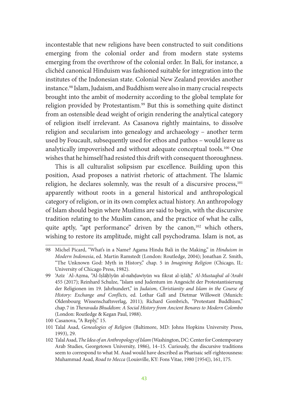incontestable that new religions have been constructed to suit conditions emerging from the colonial order and from modern state systems emerging from the overthrow of the colonial order. In Bali, for instance, a clichéd canonical Hinduism was fashioned suitable for integration into the institutes of the Indonesian state. Colonial New Zealand provides another instance.<sup>98</sup> Islam, Judaism, and Buddhism were also in many crucial respects brought into the ambit of modernity according to the global template for religion provided by Protestantism.<sup>99</sup> But this is something quite distinct from an ostensible dead weight of origin rendering the analytical category of religion itself irrelevant. As Casanova rightly maintains, to dissolve religion and secularism into genealogy and archaeology – another term used by Foucault, subsequently used for ethos and pathos – would leave us analytically impoverished and without adequate conceptual tools.100 One wishes that he himself had resisted this drift with consequent thoroughness.

This is all culturalist solipsism par excellence. Building upon this position, Asad proposes a nativist rhetoric of attachment. The Islamic religion, he declares solemnly, was the result of a discursive process,<sup>101</sup> apparently without roots in a general historical and anthropological category of religion, or in its own complex actual history. An anthropology of Islam should begin where Muslims are said to begin, with the discursive tradition relating to the Muslim canon, and the practice of what he calls, quite aptly, "apt performance" driven by the canon,<sup>102</sup> which others, wishing to restore its amplitude, might call psychodrama. Islam is not, as

<sup>98</sup> Michel Picard, "What's in a Name? Agama Hindu Bali in the Making," in *Hinduism in Modern Indonesia*, ed. Martin Ramstedt (London: Routledge, 2004); Jonathan Z. Smith, "The Unknown God: Myth in History," chap. 5 in *Imagining Religion* (Chicago, IL: University of Chicago Press, 1982).

<sup>99</sup> 'Azīz ʿAl-Aẓma, "Al-Iṣlāḥīyūn al-nahḍawīyūn wa fikrat al-iṣlāḥ," *Al-Mustaqbal al-'Arabī* 455 (2017); Reinhard Schulze, "Islam und Judentum im Angesicht der Protestantisierung der Religionen im 19. Jahrhundert," in *Judaism, Christianity and Islam in the Course of History: Exchange and Conflicts*, ed. Lothar Gall and Dietmar Willoweit (Munich: Oldenbourg Wissenschaftsverlag, 2011); Richard Gombrich, "Protestant Buddhism," chap.7 in *Theravada Bhuddism: A Social History from Ancient Benares to Modern Colombo* (London: Routledge & Kegan Paul, 1988).

<sup>100</sup> Casanova, "A Reply," 15.

<sup>101</sup> Talal Asad, *Genealogies of Religion* (Baltimore, MD: Johns Hopkins University Press, 1993), 29.

<sup>102</sup> Talal Asad, *The Idea of an Anthropology of Islam* (Washington, DC: Center for Contemporary Arab Studies, Georgetown University, 1986), 14–15. Curiously, the discursive traditions seem to correspond to what M. Asad would have described as Pharisaic self-righteousness: Muhammad Asad, *Road to Mecca* (Louisville, KY: Fons Vitae, 1980 [1954]), 161, 175.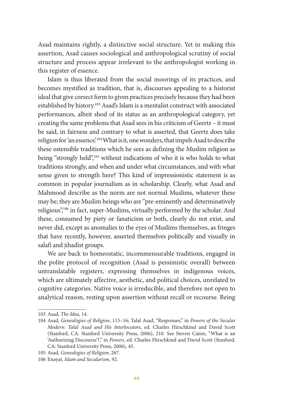Asad maintains rightly, a distinctive social structure. Yet in making this assertion, Asad causes sociological and anthropological scrutiny of social structure and process appear irrelevant to the anthropologist working in this register of essence.

Islam is thus liberated from the social moorings of its practices, and becomes mystified as tradition, that is, discourses appealing to a historist ideal that give correct form to given practices precisely because they had been established by history.<sup>103</sup> Asad's Islam is a mentalist construct with associated performances, albeit shod of its status as an anthropological category, yet creating the same problems that Asad sees in his criticism of Geertz – it must be said, in fairness and contrary to what is asserted, that Geertz does take religion for 'an essence'.104 What is it, one wonders, that impels Asad to describe these ostensible traditions which he sees as defining the Muslim religion as being "strongly held",105 without indications of who it is who holds to what traditions strongly, and when and under what circumstances, and with what sense given to strength here? This kind of impressionistic statement is as common in popular journalism as in scholarship. Clearly, what Asad and Mahmood describe as the norm are not normal Muslims, whatever these may be; they are Muslim beings who are "pre-eminently and determinatively religious",106 in fact, super-Muslims, virtually performed by the scholar. And these, consumed by piety or fanaticism or both, clearly do not exist, and never did, except as anomalies to the eyes of Muslims themselves, as fringes that have recently, however, asserted themselves politically and visually in salafi and jihadist groups.

We are back to homeostatic, incommensurable traditions, engaged in the polite protocol of recognition (Asad is pessimistic overall) between untranslatable registers, expressing themselves in indigenous voices, which are ultimately affective, aesthetic, and political choices, unrelated to cognitive categories. Native voice is irreducible, and therefore not open to analytical reason, resting upon assertion without recall or recourse. Being

<sup>103</sup> Asad, *The Idea*, 14.

<sup>104</sup> Asad, *Genealogies of Religion*, 115–16; Talal Asad, "Responses," in *Powers of the Secular Modern: Talal Asad and His Interlocutors*, ed. Charles Hirschkind and David Scott (Stanford, CA: Stanford University Press, 2006), 210. See Steven Caton, "What is an 'Authorizing Discourse'?," in *Powers*, ed. Charles Hirschkind and David Scott (Stanford, CA: Stanford University Press, 2006), 45.

<sup>105</sup> Asad, *Genealogies of Religion*, 267.

<sup>106</sup> Enayat, *Islam and Secularism*, 92.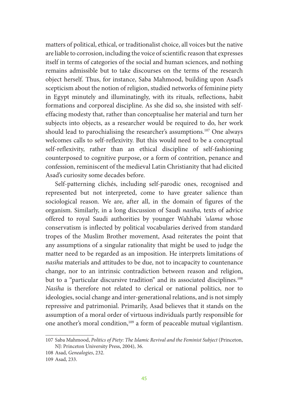matters of political, ethical, or traditionalist choice, all voices but the native are liable to corrosion, including the voice of scientific reason that expresses itself in terms of categories of the social and human sciences, and nothing remains admissible but to take discourses on the terms of the research object herself. Thus, for instance, Saba Mahmood, building upon Asad's scepticism about the notion of religion, studied networks of feminine piety in Egypt minutely and illuminatingly, with its rituals, reflections, habit formations and corporeal discipline. As she did so, she insisted with selfeffacing modesty that, rather than conceptualise her material and turn her subjects into objects, as a researcher would be required to do, her work should lead to parochialising the researcher's assumptions.<sup>107</sup> One always welcomes calls to self-reflexivity. But this would need to be a conceptual self-reflexivity, rather than an ethical discipline of self-fashioning counterposed to cognitive purpose, or a form of contrition, penance and confession, reminiscent of the medieval Latin Christianity that had elicited Asad's curiosity some decades before.

Self-patterning clichés, including self-parodic ones, recognised and represented but not interpreted, come to have greater salience than sociological reason. We are, after all, in the domain of figures of the organism. Similarly, in a long discussion of Saudi *nasiha,* texts of advice offered to royal Saudi authorities by younger Wahhabi *'ulama* whose conservatism is inflected by political vocabularies derived from standard tropes of the Muslim Brother movement, Asad reiterates the point that any assumptions of a singular rationality that might be used to judge the matter need to be regarded as an imposition. He interprets limitations of *nasiha* materials and attitudes to be due, not to incapacity to countenance change, nor to an intrinsic contradiction between reason and religion, but to a "particular discursive tradition" and its associated disciplines.<sup>108</sup> *Nasiha* is therefore not related to clerical or national politics, nor to ideologies, social change and inter-generational relations, and is not simply repressive and patrimonial. Primarily, Asad believes that it stands on the assumption of a moral order of virtuous individuals partly responsible for one another's moral condition,109 a form of peaceable mutual vigilantism.

<sup>107</sup> Saba Mahmood, *Politics of Piety: The Islamic Revival and the Feminist Subject* (Princeton, NJ: Princeton University Press, 2004), 36.

<sup>108</sup> Asad, *Genealogies*, 232.

<sup>109</sup> Asad, 233.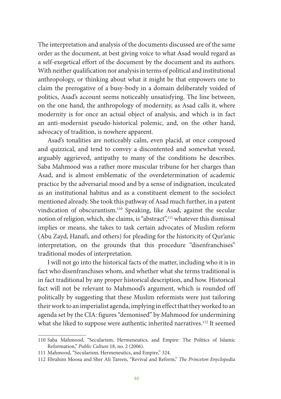The interpretation and analysis of the documents discussed are of the same order as the document, at best giving voice to what Asad would regard as a self-exegetical effort of the document by the document and its authors. With neither qualification nor analysis in terms of political and institutional anthropology, or thinking about what it might be that empowers one to claim the prerogative of a busy-body in a domain deliberately voided of politics, Asad's account seems noticeably unsatisfying. The line between, on the one hand, the anthropology of modernity, as Asad calls it, where modernity is for once an actual object of analysis, and which is in fact an anti-modernist pseudo-historical polemic, and, on the other hand, advocacy of tradition, is nowhere apparent.

Asad's tonalities are noticeably calm, even placid, at once composed and quizzical, and tend to convey a discontented and somewhat vexed, arguably aggrieved, antipathy to many of the conditions he describes. Saba Mahmood was a rather more muscular tribune for her charges than Asad, and is almost emblematic of the overdetermination of academic practice by the adversarial mood and by a sense of indignation, inculcated as an institutional habitus and as a constituent element to the sociolect mentioned already. She took this pathway of Asad much further, in a patent vindication of obscurantism.110 Speaking, like Asad, against the secular notion of religion, which, she claims, is "abstract",111 whatever this dismissal implies or means, she takes to task certain advocates of Muslim reform (Abu Zayd, Hanafi, and others) for pleading for the historicity of Qur'anic interpretation, on the grounds that this procedure "disenfranchises" traditional modes of interpretation.

I will not go into the historical facts of the matter, including who it is in fact who disenfranchises whom, and whether what she terms traditional is in fact traditional by any proper historical description, and how. Historical fact will not be relevant to Mahmood's argument, which is rounded off politically by suggesting that these Muslim reformists were just tailoring their work to an imperialist agenda, implying in effect that they worked to an agenda set by the CIA: figures "demonised" by Mahmood for undermining what she liked to suppose were authentic inherited narratives.<sup>112</sup> It seemed

<sup>110</sup> Saba Mahmood, "Secularism, Hermeneutics, and Empire: The Politics of Islamic Reformation," *Public Culture* 18, no. 2 (2006).

<sup>111</sup> Mahmood, "Secularism, Hermeneutics, and Empire," 324.

<sup>112</sup> Ebrahim Moosa and Sher Ali Tareen, "Revival and Reform," *The Princeton Enyclopedia*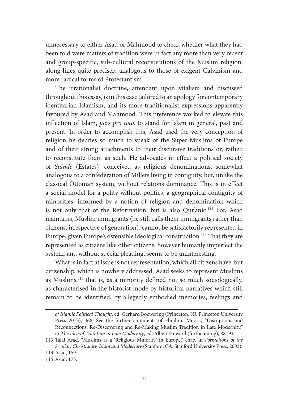unnecessary to either Asad or Mahmood to check whether what they had been told were matters of tradition were in fact any more than very recent and group-specific, sub-cultural reconstitutions of the Muslim religion, along lines quite precisely analogous to those of exigent Calvinism and more radical forms of Protestantism.

The irrationalist doctrine, attendant upon vitalism and discussed throughout this essay, is in this case tailored to an apology for contemporary identitarian Islamism, and its more traditionalist expressions apparently favoured by Asad and Mahmood. This preference worked to elevate this inflection of Islam, *pars pro toto,* to stand for Islam in general, past and present. In order to accomplish this, Asad used the very conception of religion he decries so much to speak of the Super-Muslims of Europe and of their strong attachments to their discursive traditions or, rather, to reconstitute them as such. He advocates in effect a political society of *Stände* (Estates), conceived as religious denominations, somewhat analogous to a confederation of Millets living in contiguity, but, unlike the classical Ottoman system, without relations dominance. This is in effect a social model for a polity without politics, a geographical contiguity of minorities, informed by a notion of religion and denomination which is not only that of the Reformation, but is also Qur'anic.113 For, Asad maintains, Muslim immigrants (he still calls them immigrants rather than citizens, irrespective of generation), cannot be satisfactorily represented in Europe, given Europe's ostensible ideological construction.<sup>114</sup> That they are represented as citizens like other citizens, however humanly imperfect the system, and without special pleading, seems to be uninteresting.

What is in fact at issue is not representation, which all citizens have, but citizenship, which is nowhere addressed. Asad seeks to represent Muslims as Muslims,115 that is, as a minority defined not so much sociologically, as characterised in the historist mode by historical narratives which still remain to be identified, by allegedly embodied memories, feelings and

*of Islamic Political Thought*, ed. Gerhard Boewering (Princeton, NJ: Princeton University Press 2013), 468. See the further comments of Ebrahim Moosa, "Disruptions and Reconnections: Re-Discovering and Re-Making Muslim Tradition in Late Modernity," in *The Idea of Tradition in Late Modernity*, ed. Albert Howard (forthcoming), 88–91.

<sup>113</sup> Talal Asad, "Muslims as a 'Religious Minority' in Europe," chap. in *Formations of the Secular: Christianity, Islam and Modernity* (Stanford, CA: Stanford University Press, 2003).

<sup>114</sup> Asad, 159.

<sup>115</sup> Asad, 173.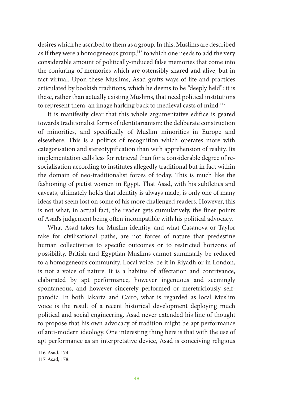desires which he ascribed to them as a group. In this, Muslims are described as if they were a homogeneous group,<sup>116</sup> to which one needs to add the very considerable amount of politically-induced false memories that come into the conjuring of memories which are ostensibly shared and alive, but in fact virtual. Upon these Muslims, Asad grafts ways of life and practices articulated by bookish traditions, which he deems to be "deeply held": it is these, rather than actually existing Muslims, that need political institutions to represent them, an image harking back to medieval casts of mind.<sup>117</sup>

It is manifestly clear that this whole argumentative edifice is geared towards traditionalist forms of identitarianism: the deliberate construction of minorities, and specifically of Muslim minorities in Europe and elsewhere. This is a politics of recognition which operates more with categorisation and stereotypification than with apprehension of reality. Its implementation calls less for retrieval than for a considerable degree of resocialisation according to institutes allegedly traditional but in fact within the domain of neo-traditionalist forces of today. This is much like the fashioning of pietist women in Egypt. That Asad, with his subtleties and caveats, ultimately holds that identity is always made, is only one of many ideas that seem lost on some of his more challenged readers. However, this is not what, in actual fact, the reader gets cumulatively, the finer points of Asad's judgement being often incompatible with his political advocacy.

What Asad takes for Muslim identity, and what Casanova or Taylor take for civilisational paths, are not forces of nature that predestine human collectivities to specific outcomes or to restricted horizons of possibility. British and Egyptian Muslims cannot summarily be reduced to a homogeneous community. Local voice, be it in Riyadh or in London, is not a voice of nature. It is a habitus of affectation and contrivance, elaborated by apt performance, however ingenuous and seemingly spontaneous, and however sincerely performed or meretriciously selfparodic. In both Jakarta and Cairo, what is regarded as local Muslim voice is the result of a recent historical development deploying much political and social engineering. Asad never extended his line of thought to propose that his own advocacy of tradition might be apt performance of anti-modern ideology. One interesting thing here is that with the use of apt performance as an interpretative device, Asad is conceiving religious

<sup>116</sup> Asad, 174.

<sup>117</sup> Asad, 178.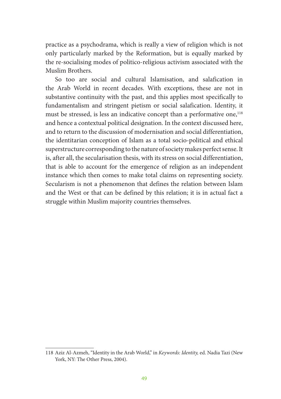practice as a psychodrama, which is really a view of religion which is not only particularly marked by the Reformation, but is equally marked by the re-socialising modes of politico-religious activism associated with the Muslim Brothers.

So too are social and cultural Islamisation, and salafication in the Arab World in recent decades. With exceptions, these are not in substantive continuity with the past, and this applies most specifically to fundamentalism and stringent pietism or social salafication. Identity, it must be stressed, is less an indicative concept than a performative one,<sup>118</sup> and hence a contextual political designation. In the context discussed here, and to return to the discussion of modernisation and social differentiation, the identitarian conception of Islam as a total socio-political and ethical superstructure corresponding to the nature of society makes perfect sense. It is, after all, the secularisation thesis, with its stress on social differentiation, that is able to account for the emergence of religion as an independent instance which then comes to make total claims on representing society. Secularism is not a phenomenon that defines the relation between Islam and the West or that can be defined by this relation; it is in actual fact a struggle within Muslim majority countries themselves.

<sup>118</sup> Aziz Al-Azmeh, "Identity in the Arab World," in *Keywords: Identity,* ed. Nadia Tazi (New York, NY: The Other Press, 2004).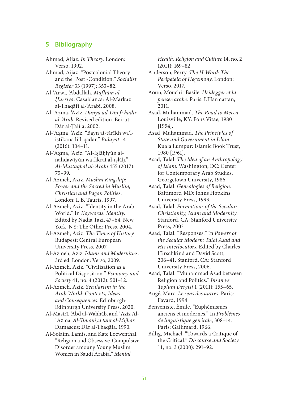#### **5 Bibliography**

- Ahmad, Aijaz. *In Theory*. London: Verso, 1992.
- Ahmad, Aijaz. "Postcolonial Theory and the 'Post'-Condition." *Socialist Register* 33 (1997): 353–82.
- Al-'Arwi, 'Abdallah. *Mafhūm al-Ḥurrīya*. Casablanca: Al-Markaz al-Thaqāfī al-'Arabī, 2008.
- Al-ʿAẓma, 'Azīz. *Dunyā ad-Dīn fī ḥāḍir al-'Arab*. Revised edition. Beirut: Dār al-Ṭalīʿa, 2002.
- Al-ʿAẓma, 'Azīz. "Bayn at-tārīkh wa'listikāna li'l-qadar." *Bidāyāt* 14 (2016): 104–11.
- Al-ʿAẓma, 'Azīz. "Al-Iṣlāḥiyūn alnahḍawīyūn wa fikrat al-iṣlāḥ." *Al-Mustaqbal al-'Arabī* 455 (2017): 75–99.
- Al-Azmeh, Aziz. *Muslim Kingship: Power and the Sacred in Muslim, Christian and Pagan Polities*. London: I. B. Tauris, 1997.
- Al-Azmeh, Aziz. "Identity in the Arab World." In *Keywords: Identity*. Edited by Nadia Tazi, 47–64. New York, NY: The Other Press, 2004.
- Al-Azmeh, Aziz. *The Times of History*. Budapest: Central European University Press, 2007.
- Al-Azmeh, Aziz. *Islams and Modernities*. 3rd ed. London: Verso, 2009.
- Al-Azmeh, Aziz. "Civilisation as a Political Disposition." *Economy and Society* 41, no. 4 (2012): 501–12.
- Al-Azmeh, Aziz. *Secularism in the Arab World: Contexts, Ideas and Consequences*. Edinburgh: Edinburgh University Press, 2020.
- Al-Masīrī, 'Abd al-Wahhāb, and ʿAzīz Al-ʿAẓma. *Al-'Ilmaniya taht al-Mijhar*. Damascus: Dār al-Thaqāfa, 1990.
- Al-Solaim, Lamis, and Kate Loewenthal. "Religion and Obsessive-Compulsive Disorder amoung Young Muslim Women in Saudi Arabia." *Mental*

*Health, Religion and Culture* 14, no. 2 (2011): 169–82.

- Anderson, Perry. *The H-Word: The Peripeteia of Hegemony*. London: Verso, 2017.
- Aoun, Mouchir Basile. *Heidegger et la pensée arabe*. Paris: L'Harmattan, 2011.
- Asad, Muhammad. *The Road to Mecca*. Louisville, KY: Fons Vitae, 1980 [1954].
- Asad, Muhammad. *The Principles of State and Government in Islam*. Kuala Lumpur: Islamic Book Trust, 1980 [1961].
- Asad, Talal. *The Idea of an Anthropology of Islam*. Washington, DC: Center for Contemporary Arab Studies, Georgetown University, 1986.
- Asad, Talal. *Genealogies of Religion*. Baltimore, MD: Johns Hopkins University Press, 1993.
- Asad, Talal. *Formations of the Secular: Christianity, Islam and Modernity*. Stanford, CA: Stanford University Press, 2003.
- Asad, Talal. "Responses." In *Powers of the Secular Modern: Talal Asad and His Interlocutors*. Edited by Charles Hirschkind and David Scott, 206–41. Stanford, CA: Stanford University Press, 2006.
- Asad, Talal. "Muhammad Asad between Religion and Politics." *Insan ve Toplum Dergisi* 1 (2011): 155–65.
- Augé, Marc. *Le sens des autres*. Paris: Fayard, 1994.

Benveniste, Émile. "Euphémismes anciens et modernes." In *Problèmes de linguistique générale*, 308–14. Paris: Gallimard, 1966.

Billig, Michael. "Towards a Critique of the Critical." *Discourse and Society* 11, no. 3 (2000): 291–92.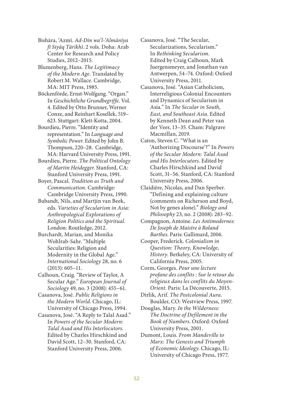Bishāra, 'Azmī. *Ad-Dīn wa'l-'Almānīya fī Siyāq Tārīkhī*. 2 vols. Doha: Arab Center for Research and Policy Studies, 2012–2015.

Blumenberg, Hans. *The Legitimacy of the Modern Age*. Translated by Robert M. Wallace. Cambridge, MA: MIT Press, 1985.

Böckenförde, Ernst-Wolfgang. "Organ." In *Geschichtliche Grundbegriffe*. Vol. 4. Edited by Otto Brunner, Werner Conze, and Reinhart Kosellek, 519– 623. Stuttgart: Klett-Kotta, 2004.

Bourdieu, Pierre. "Identity and representation." In *Language and Symbolic Power*. Edited by John B. Thompson, 220–28. Cambridge, MA: Harvard University Press, 1991.

Bourdieu, Pierre. *The Political Ontology of Martin Heidegger*. Stanford, CA: Stanford University Press, 1991.

Boyer, Pascal. *Tradition as Truth and Communication.* Cambridge: Cambridge University Press, 1990.

- Bubandt, Nils, and Martjin van Beek, eds. *Varieties of Secularism in Asia: Anthropological Explorations of Religion Politics and the Spiritual*. London: Routledge, 2012.
- Burchardt, Marian, and Monika Wohlrab-Sahr. "Multiple Secularities: Religion and Modernity in the Global Age." *International Sociology* 28, no. 6 (2013): 605–11.

Calhoun, Craig. "Review of Taylor, A Secular Age." *European Journal of Sociology* 49, no. 3 (2008): 455–61.

Casanova, José. *Public Religions in the Modern World*. Chicago, IL: University of Chicago Press, 1994.

Casanova, José. "A Reply to Talal Asad." In *Powers of the Secular Modern: Talal Asad and His Interlocutors*. Edited by Charles Hirschkind and David Scott, 12–30. Stanford, CA: Stanford University Press, 2006.

Casanova, José. "The Secular, Secularizations, Secularism." In *Rethinking Secularism*. Edited by Craig Calhoun, Mark Juergensmeyer, and Jonathan van Antwerpen, 54–74. Oxford: Oxford University Press, 2011.

- Casanova, José. "Asian Catholicism, Interreligious Colonial Encounters and Dynamics of Secularism in Asia." In *The Secular in South, East, and Southeast Asia*. Edited by Kenneth Dean and Peter van der Veer, 13–35. Cham: Palgrave Macmillan, 2019.
- Caton, Steven C. "What is an 'Authorizing Discourse'?" In *Powers of the Secular Modern: Talal Asad and His Interlocutors*. Edited by Charles Hirschkind and David Scott, 31–56. Stanford, CA: Stanford University Press, 2006.
- Claidière, Nicolas, and Dan Sperber. "Defining and explaining culture (comments on Richerson and Boyd, Not by genes alone)." *Biology and Philosophy* 23, no. 2 (2008): 283–92.
- Compagnon, Antoine. *Les Antimodernes: De Joseph de Maistre à Roland Barthes*. Paris: Gallimard, 2006.

Cooper, Frederick. *Colonialism in Question: Theory, Knowledge, History*. Berkeley, CA: University of California Press, 2005.

Corm, Georges. *Pour une lecture profane des conflits : Sur le retour du religieux dans les conflits du Moyen-Orient*. Paris: La Découverte, 2015.

Dirlik, Arif. *The Postcolonial Aura*. Boulder, CO: Westview Press, 1997.

Douglas, Mary. *In the Wilderness: The Doctrine of Defilement in the Book of Numbers*. Oxford: Oxford University Press, 2001.

Dumont, Louis. *From Mandeville to Marx: The Genesis and Triumph of Economic Ideology*. Chicago, IL: University of Chicago Press, 1977.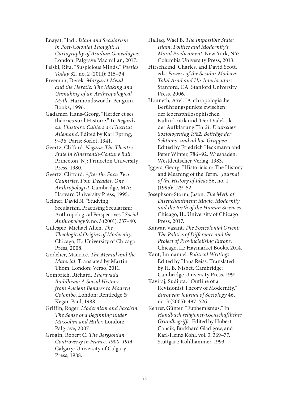Enayat, Hadi. *Islam and Secularism in Post-Colonial Thought: A Cartography of Asadian Genealogies*. London: Palgrave Macmillan, 2017.

Felski, Rita. "Suspicious Minds." *Poetics Today* 32, no. 2 (2011): 215–34.

Freeman, Derek. *Margaret Mead and the Heretic: The Making and Unmaking of an Anthropological Myth*. Harmondsworth: Penguin Books, 1996.

- Gadamer, Hans-Georg. "Herder et ses théories sur l'Histoire." In *Regards sur l'histoire: Cahiers de l'Institut Allemand*. Edited by Karl Epting, 9–36. Paris: Sorlot, 1941.
- Geertz, Clifford. *Negara: The Theatre State in Nineteenth-Century Bali*. Princeton, NJ: Princeton University Press, 1980.

Geertz, Clifford. *After the Fact: Two Countries, Four Decades, One Anthropologist*. Cambridge, MA: Harvard University Press, 1995.

Gellner, David N. "Studying Secularism, Practising Secularism: Anthropological Perspectives." *Social Anthropology* 9, no. 3 (2001): 337–40.

Gillespie, Michael Allen. *The Theological Origins of Modernity*. Chicago, IL: University of Chicago Press, 2008.

Godelier, Maurice. *The Mental and the Material*. Translated by Martin Thom. London: Verso, 2011.

Gombrich, Richard. *Theravada Buddhism: A Social History from Ancient Benares to Modern Colombo*. London: Rentledge & Kegan Paul, 1988.

Griffin, Roger. *Modernism and Fascism: The Sense of a Beginning under Mussolini and Hitler*. London: Palgrave, 2007.

Grogin, Robert C. *The Bergsonian Controversy in France, 1900–1914*. Calgary: University of Calgary Press, 1988.

Hallaq, Wael B. *The Impossible State: Islam, Politics and Modernity's Moral Predicament*. New York, NY: Columbia University Press, 2013.

Hirschkind, Charles, and David Scott, eds. *Powers of the Secular Modern: Talal Asad and His Interlocutors*. Stanford, CA: Stanford University Press, 2006.

Honneth, Axel. "Anthropologische Berührungspunkte zwischen der lebensphilosophischen Kulturkritik und 'Der Dialektik der Aufklärung'"In *21. Deutscher Soziologentag 1982: Beiträge der Sektions- und ad hoc Gruppen*. Edited by Friedrich Heckmann and Peter Winter, 786–92. Wiesbaden: Westdeutscher Verlag, 1983.

Iggers, Georg. "Historicism: The History and Meaning of the Term." *Journal of the History of Ideas* 56, no. 1 (1995): 129–52.

Josephson-Storm, Jason. *The Myth of Disenchantment: Magic, Modernity and the Birth of the Human Sciences*. Chicago, IL: University of Chicago Press, 2017.

Kaiwar, Vasant. *The Postcolonial Orient: The Politics of Difference and the Project of Provincialising Europe*. Chicago, IL: Haymarket Books, 2014.

Kant, Immanuel. *Political Writings*. Edited by Hans Reiss. Translated by H. B. Nisbet. Cambridge: Cambridge University Press, 1991.

Kaviraj, Sudipta. "Outline of a Revisionist Theory of Modernity." *European Journal of Sociology* 46, no. 3 (2005): 497–526.

Kehrer, Günter. "Euphemismus." In *Handbuch religionswissenschaftlicher Grundbegriffe*. Edited by Hubert Cancik, Burkhard Gladigow, and Karl-Heinz Kohl, vol. 3, 369–77. Stuttgart: Kohlhammer, 1993.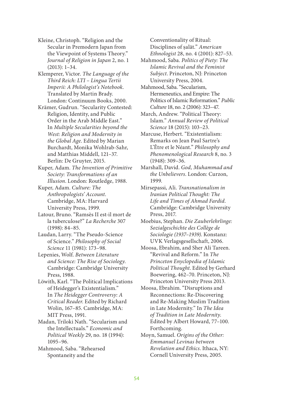Kleine, Christoph. "Religion and the Secular in Premodern Japan from the Viewpoint of Systems Theory." *Journal of Religion in Japan* 2, no. 1 (2013): 1–34.

Klemperer, Victor. *The Language of the Third Reich: LTI – Lingua Tertii Imperii: A Philologist's Notebook.*  Translated by Martin Brady. London: Continuum Books, 2000.

Krämer, Gudrun. "Secularity Contested: Religion, Identity, and Public Order in the Arab Middle East." In *Multiple Secularities beyond the West: Religion and Modernity in the Global Age*. Edited by Marian Burchardt, Monika Wohlrab-Sahr, and Matthias Middell, 121–37. Berlin: De Gruyter, 2015.

Kuper, Adam. *The Invention of Primitive Society: Transformations of an Illusion*. London: Routledge, 1988.

Kuper, Adam. *Culture: The Anthropologists' Account*. Cambridge, MA: Harvard University Press, 1999.

Latour, Bruno. "Ramsès II est-il mort de la tuberculose?" *La Recherche* 307 (1998): 84–85.

Laudan, Larry. "The Pseudo-Science of Science." *Philosophy of Social Science* 11 (1981): 173–98.

Lepenies, Wolf. *Between Literature and Science: The Rise of Sociology*. Cambridge: Cambridge University Press, 1988.

Löwith, Karl. "The Political Implications of Heidegger's Existentialism." In *The Heidegger Controversy: A Critical Reader*. Edited by Richard Wolin, 167–85. Cambridge, MA: MIT Press, 1991.

Madan, Triloki Nath. "Secularism and the Intellectuals." *Economic and Political Weekly* 29, no. 18 (1994): 1095–96.

Mahmood, Saba. "Rehearsed Spontaneity and the

Conventionality of Ritual: Disciplines of ṣalāt." *American Ethnologist* 28, no. 4 (2001): 827–53.

Mahmood, Saba. *Politics of Piety: The Islamic Revival and the Feminist Subject*. Princeton, NJ: Princeton University Press, 2004.

Mahmood, Saba. "Secularism, Hermeneutics, and Empire: The Politics of Islamic Reformation." *Public Culture* 18, no. 2 (2006): 323–47.

March, Andrew. "Political Theory: Islam." *Annual Review of Political Science* 18 (2015): 103–23.

Marcuse, Herbert. "Existentialism: Remarks on Jean Paul Sartre's L'Être et le Néant." *Philosophy and Phenomenological Research* 8, no. 3 (1948): 309–36.

Marshall, David. *God, Muhammad and the Unbelievers*. London: Curzon, 1999.

Mirsepassi, Ali. *Transnationalism in Iranian Political Thought: The Life and Times of Ahmad Fardid*. Cambridge: Cambridge University Press, 2017.

Moebius, Stephan. *Die Zauberlehrlinge: Sozialgeschichte des Collège de Sociologie (1937–1939)*. Konstanz: UVK Verlagsgesellschaft, 2006.

Moosa, Ebrahim, and Sher Ali Tareen. "Revival and Reform." In *The Princeton Enyclopedia of Islamic Political Thought*. Edited by Gerhard Boewering, 462–70. Princeton, NJ: Princeton University Press 2013.

Moosa, Ebrahim. "Disruptions and Reconnections: Re-Discovering and Re-Making Muslim Tradition in Late Modernity." In *The Idea of Tradition in Late Modernity*. Edited by Albert Howard, 77–100. Forthcoming.

Moyn, Samuel. *Origins of the Other: Emmanuel Levinas between Revelation and Ethics*. Ithaca, NY: Cornell University Press, 2005.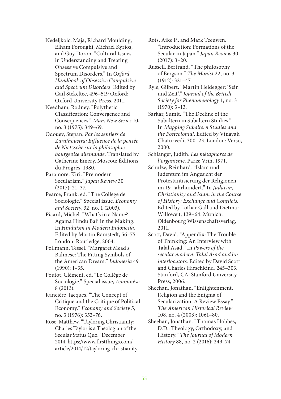- Nedeljkoic, Maja, Richard Moulding, Elham Foroughi, Michael Kyrios, and Guy Doron. "Cultural Issues in Understanding and Treating Obsessive Compulsive and Spectrum Disorders." In *Oxford Handbook of Obsessive Compulsive and Spectrum Disorders*. Edited by Gail Stekeltee, 496–519 Oxford: Oxford University Press, 2011.
- Needham, Rodney. "Polythetic Classification: Convergence and Consequences." *Man*, *New Series* 10, no. 3 (1975): 349–69.
- Odouev, Stepan. *Par les sentiers de Zarathoustra: Influence de la pensée de Nietzsche sur la philosophie bourgeoise allemande*. Translated by Catherine Emery. Moscou: Éditions du Progrès, 1980.
- Paramore, Kiri. "Premodern Secularism." *Japan Review* 30 (2017): 21–37.
- Pearce, Frank, ed. "The Collège de Sociologie." Special issue, *Economy and Society*, 32, no. 1 (2003).
- Picard, Michel. "What's in a Name? Agama Hindu Bali in the Making." In *Hinduism in Modern Indonesia*. Edited by Martin Ramstedt, 56–75. London: Routledge, 2004.
- Pollmann, Tessel. "Margaret Mead's Balinese: The Fitting Symbols of the American Dream." *Indonesia* 49 (1990): 1–35.
- Poutot, Clément, ed. "Le Collège de Sociologie." Special issue, *Anamnèse* 8 (2013).
- Rancière, Jacques. "The Concept of Critique and the Critique of Political Economy." *Economy and Society* 5, no. 3 (1976): 352–76.
- Rose, Matthew. "Tayloring Christianity: Charles Taylor is a Theologian of the Secular Status Quo." December 2014. https://www.firstthings.com/ article/2014/12/tayloring-christianity.
- Rots, Aike P., and Mark Teeuwen. "Introduction: Formations of the Secular in Japan." *Japan Review* 30 (2017): 3–20.
- Russell, Bertrand. "The philosophy of Bergson." *The Monist* 22, no. 3 (1912): 321–47.
- Ryle, Gilbert. "Martin Heidegger: 'Sein und Zeit'." *Journal of the British Society for Phenomenology* 1, no. 3 (1970): 3–13.
- Sarkar, Sumit. "The Decline of the Subaltern in Subaltern Studies." In *Mapping Subaltern Studies and the Postcolonial*. Edited by Vinayak Chaturvedi, 300–23. London: Verso, 2000.
- Schlanger, Judith. *Les métaphores de l´organisme*. Paris: Vrin, 1971.
- Schulze, Reinhard. "Islam und Judentum im Angesicht der Protestantisierung der Religionen im 19. Jahrhundert." In *Judaism, Christianity and Islam in the Course of History: Exchange and Conflicts*. Edited by Lothar Gall and Dietmar Willoweit, 139–64. Munich: Oldenbourg Wissenschaftsverlag, 2011.
- Scott, David. "Appendix: The Trouble of Thinking: An Interview with Talal Asad." In *Powers of the secular modern: Talal Asad and his interlocutors*. Edited by David Scott and Charles Hirschkind, 245–303. Stanford, CA: Stanford University Press, 2006.
- Sheehan, Jonathan. "Enlightenment, Religion and the Enigma of Secularization: A Review Essay." *The American Historical Review* 108, no. 4 (2003): 1061–80.
- Sheehan, Jonathan. "Thomas Hobbes, D.D.: Theology, Orthodoxy, and History." *The Journal of Modern History* 88, no. 2 (2016): 249–74.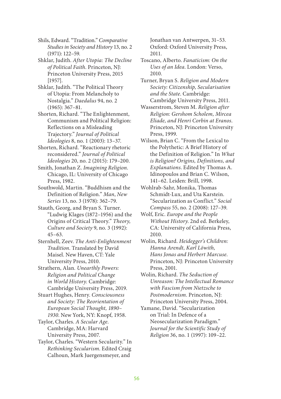Shils, Edward. "Tradition." *Comparative Studies in Society and History* 13, no. 2 (1971): 122–59.

Shklar, Judith. *After Utopia: The Decline of Political Faith*. Princeton, NJ: Princeton University Press, 2015 [1957].

Shklar, Judith. "The Political Theory of Utopia: From Melancholy to Nostalgia." *Daedalus* 94, no. 2 (1965): 367–81.

Shorten, Richard. "The Enlightenment, Communism and Political Religion: Reflections on a Misleading Trajectory." *Journal of Political Ideologies* 8, no. 1 (2003): 13–37.

Shorten, Richard. "Reactionary rhetoric reconsidered." *Journal of Political Ideologies* 20, no. 2 (2015): 179–200.

Smith, Jonathan Z. *Imagining Religion*. Chicago, IL: University of Chicago Press, 1982.

Southwold, Martin. "Buddhism and the Definition of Religion." *Man*, *New Series* 13, no. 3 (1978): 362–79.

Stauth, Georg, and Bryan S. Turner. "Ludwig Klages (1872–1956) and the Origins of Critical Theory." *Theory, Culture and Society* 9, no. 3 (1992): 45–63.

Sternhell, Zeev. *The Anti-Enlightenment Tradition*. Translated by David Maisel. New Haven, CT: Yale University Press, 2010.

Strathern, Alan*. Unearthly Powers: Religion and Political Change in World History.* Cambridge: Cambridge University Press, 2019.

Stuart Hughes, Henry. *Consciousness and Society: The Reorientation of European Social Thought, 1890– 1930*. New York, NY: Knopf, 1958.

Taylor, Charles. *A Secular Age*. Cambridge, MA: Harvard University Press, 2007.

Taylor, Charles. "Western Secularity." In *Rethinking Secularism*. Edited Craig Calhoun, Mark Juergensmeyer, and

Jonathan van Antwerpen, 31–53. Oxford: Oxford University Press, 2011.

Toscano, Alberto. *Fanaticism: On the Uses of an Idea*. London: Verso, 2010.

Turner, Bryan S. *Religion and Modern Society: Citizenship, Secularisation and the State*. Cambridge: Cambridge University Press, 2011.

Wasserstrom, Steven M. *Religion after Religion: Gershom Scholem, Mircea Eliade, and Henri Corbin at Eranos*. Princeton, NJ: Princeton University Press, 1999.

Wilson, Brian C. "From the Lexical to the Polythetic: A Brief History of the Definition of Religion." In *What is Religion? Origins, Definitions, and Explanations*. Edited by Thomas A. Idinopoulos and Brian C. Wilson, 141–62. Leiden: Brill, 1998.

Wohlrab-Sahr, Monika, Thomas Schmidt-Lux, and Uta Karstein. "Secularization as Conflict." *Social Compass* 55, no. 2 (2008): 127–39.

Wolf, Eric. *Europe and the People Without History*. 2nd ed. Berkeley, CA: University of California Press, 2010.

Wolin, Richard. *Heidegger's Children: Hanna Arendt, Karl Löwith, Hans Jonas and Herbert Marcuse*. Princeton, NJ: Princeton University Press, 2001.

Wolin, Richard. *The Seduction of Unreason: The Intellectual Romance with Fascism from Nietzsche to Postmodernism*. Princeton, NJ: Princeton University Press, 2004.

Yamane, David. "Secularization on Trial: In Defence of a Neosecularization Paradigm." *Journal for the Scientific Study of Religion* 36, no. 1 (1997): 109–22.